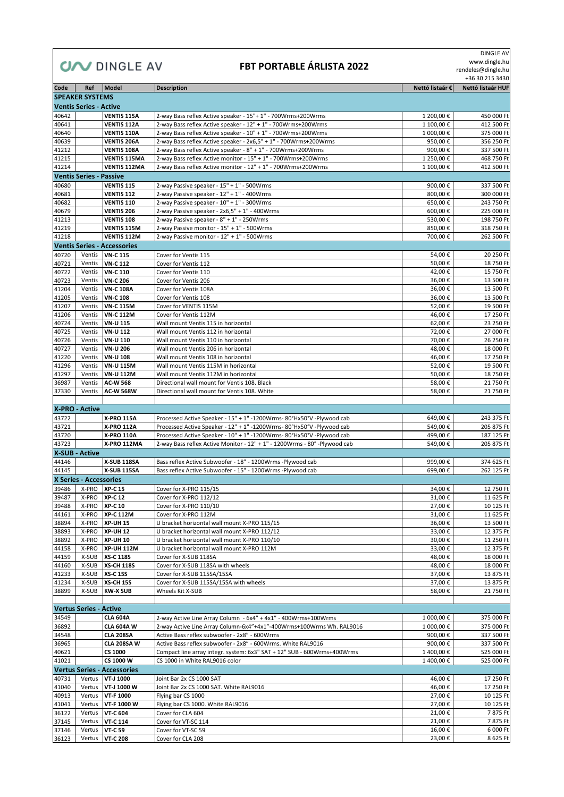### **CIAN** DINGLE AV

#### **FBT PORTABLE ÁRLISTA 2022**

 DINGLE AV www.dingle.hu rendeles@dingle.hu

+36 30 215 3430

| Code           | Ref                            | Model                                | <b>Description</b>                                                                                            | Nettó listaár € | Nettó listaár HUF |
|----------------|--------------------------------|--------------------------------------|---------------------------------------------------------------------------------------------------------------|-----------------|-------------------|
|                | <b>SPEAKER SYSTEMS</b>         |                                      |                                                                                                               |                 |                   |
|                | <b>Ventis Series - Active</b>  |                                      |                                                                                                               |                 |                   |
| 40642          |                                | <b>VENTIS 115A</b>                   | 2-way Bass reflex Active speaker - 15"+ 1" - 700Wrms+200Wrms                                                  | 1 200,00€       | 450 000 Ft        |
| 40641          |                                | <b>VENTIS 112A</b>                   | 2-way Bass reflex Active speaker - 12" + 1" - 700Wrms+200Wrms                                                 | 1 100,00€       | 412 500 Ft        |
| 40640          |                                | <b>VENTIS 110A</b>                   | 2-way Bass reflex Active speaker - 10" + 1" - 700Wrms+200Wrms                                                 | 1 000,00€       | 375 000 Ft        |
| 40639          |                                | <b>VENTIS 206A</b>                   | 2-way Bass reflex Active speaker - 2x6,5" + 1" - 700Wrms+200Wrms                                              | 950,00€         | 356 250 Ft        |
| 41212          |                                | <b>VENTIS 108A</b>                   | 2-way Bass reflex Active speaker - 8" + 1" - 700Wrms+200Wrms                                                  | 900,00€         | 337 500 Ft        |
| 41215          |                                | <b>VENTIS 115MA</b>                  | 2-way Bass reflex Active monitor - 15" + 1" - 700Wrms+200Wrms                                                 | 1 250,00€       | 468 750 Ft        |
| 41214          |                                | <b>VENTIS 112MA</b>                  | 2-way Bass reflex Active monitor - 12" + 1" - 700Wrms+200Wrms                                                 | 1 100,00€       | 412 500 Ft        |
|                | <b>Ventis Series - Passive</b> |                                      |                                                                                                               |                 |                   |
| 40680          |                                | <b>VENTIS 115</b>                    | 2-way Passive speaker - 15" + 1" - 500Wrms                                                                    | 900,00€         | 337 500 Ft        |
| 40681          |                                | <b>VENTIS 112</b>                    | 2-way Passive speaker - 12" + 1" - 400Wrms                                                                    | 800,00€         | 300 000 Ft        |
| 40682          |                                | <b>VENTIS 110</b>                    | 2-way Passive speaker - 10" + 1" - 300Wrms                                                                    | 650,00€         | 243 750 Ft        |
| 40679          |                                | <b>VENTIS 206</b>                    | 2-way Passive speaker - 2x6,5" + 1" - 400Wrms                                                                 | 600.00€         | 225 000 Ft        |
| 41213          |                                | <b>VENTIS 108</b>                    | 2-way Passive speaker - 8" + 1" - 250Wrms                                                                     | 530,00€         | 198 750 Ft        |
| 41219          |                                | VENTIS 115M                          | 2-way Passive monitor - 15" + 1" - 500Wrms                                                                    | 850,00€         | 318 750 Ft        |
| 41218          |                                | <b>VENTIS 112M</b>                   | 2-way Passive monitor - 12" + 1" - 500Wrms                                                                    | 700,00€         | 262 500 Ft        |
|                |                                | <b>Ventis Series - Accessories</b>   |                                                                                                               |                 |                   |
| 40720          |                                | Ventis VN-C 115                      | Cover for Ventis 115                                                                                          | 54,00€          | 20 250 Ft         |
| 40721          | Ventis                         | <b>VN-C 112</b>                      | Cover for Ventis 112                                                                                          | 50,00€          | 18750 Ft          |
| 40722          | Ventis                         | <b>VN-C 110</b>                      | Cover for Ventis 110                                                                                          | 42,00€          | 15 750 Ft         |
| 40723          | Ventis                         | <b>VN-C 206</b>                      | Cover for Ventis 206                                                                                          | 36,00€          | 13 500 Ft         |
| 41204          | Ventis                         | <b>VN-C 108A</b>                     | Cover for Ventis 108A                                                                                         | 36,00€          | 13 500 Ft         |
| 41205          | Ventis                         | <b>VN-C 108</b>                      | Cover for Ventis 108                                                                                          | 36,00€          | 13 500 Ft         |
| 41207          | Ventis                         | <b>VN-C 115M</b>                     | Cover for VENTIS 115M                                                                                         | 52,00€          | 19 500 Ft         |
| 41206          | Ventis                         | <b>VN-C 112M</b>                     | Cover for Ventis 112M                                                                                         | 46,00€          | 17 250 Ft         |
| 40724          | Ventis                         | <b>VN-U 115</b>                      | Wall mount Ventis 115 in horizontal                                                                           | 62,00€          | 23 250 Ft         |
| 40725          | Ventis                         | <b>VN-U 112</b>                      | Wall mount Ventis 112 in horizontal                                                                           | 72,00€          | 27 000 Ft         |
| 40726          | Ventis                         | <b>VN-U 110</b>                      | Wall mount Ventis 110 in horizontal                                                                           | 70,00€          | 26 250 Ft         |
| 40727          | Ventis                         | <b>VN-U 206</b>                      | Wall mount Ventis 206 in horizontal                                                                           | 48,00€          | 18 000 Ft         |
| 41220          | Ventis                         | <b>VN-U 108</b>                      | Wall mount Ventis 108 in horizontal                                                                           | 46,00€          | 17 250 Ft         |
| 41296          | Ventis                         | <b>VN-U 115M</b>                     | Wall mount Ventis 115M in horizontal                                                                          | 52,00€          | 19 500 Ft         |
| 41297          | Ventis                         | <b>VN-U 112M</b>                     | Wall mount Ventis 112M in horizontal                                                                          | 50,00€          | 18750 Ft          |
| 36987          | Ventis                         | <b>AC-W 568</b>                      | Directional wall mount for Ventis 108. Black                                                                  | 58,00€          | 21 750 Ft         |
| 37330          | Ventis                         | <b>AC-W 568W</b>                     | Directional wall mount for Ventis 108. White                                                                  | 58,00€          | 21 750 Ft         |
|                |                                |                                      |                                                                                                               |                 |                   |
|                | X-PRO - Active                 |                                      |                                                                                                               |                 |                   |
| 43722          |                                | <b>X-PRO 115A</b>                    | Processed Active Speaker - 15" + 1" -1200Wrms- 80°Hx50°V -Plywood cab                                         | 649,00€         | 243 375 Ft        |
| 43721          |                                | <b>X-PRO 112A</b>                    | Processed Active Speaker - 12" + 1" -1200Wrms- 80°Hx50°V -Plywood cab                                         | 549,00€         | 205 875 Ft        |
| 43720          |                                | X-PRO 110A                           | Processed Active Speaker - 10" + 1" -1200Wrms- 80°Hx50°V -Plywood cab                                         | 499,00€         | 187 125 Ft        |
| 43723          |                                | X-PRO 112MA                          | 2-way Bass reflex Active Monitor - 12" + 1" - 1200Wrms - 80° -Plywood cab                                     | 549,00€         | 205 875 Ft        |
|                | <b>X-SUB - Active</b>          |                                      |                                                                                                               |                 |                   |
| 44146          |                                | <b>X-SUB 118SA</b>                   | Bass reflex Active Subwoofer - 18" - 1200Wrms -Plywood cab                                                    | 999,00€         | 374 625 Ft        |
| 44145          |                                | <b>X-SUB 115SA</b>                   | Bass reflex Active Subwoofer - 15" - 1200Wrms -Plywood cab                                                    | 699.00€         | 262 125 Ft        |
|                | X Series - Accessories         |                                      |                                                                                                               |                 |                   |
| 39486          | X-PRO                          | <b>XP-C 15</b>                       | Cover for X-PRO 115/15                                                                                        | 34,00€          | 12 750 Ft         |
| 39487          | X-PRO                          | <b>XP-C 12</b>                       | Cover for X-PRO 112/12                                                                                        | 31,00€          | 11 625 Ft         |
| 39488          | X-PRO                          | <b>XP-C 10</b>                       | Cover for X-PRO 110/10                                                                                        | 27,00€          | 10 125 Ft         |
| 44161          | X-PRO                          | <b>XP-C 112M</b>                     | Cover for X-PRO 112M                                                                                          | 31,00€          | 11 625 Ft         |
| 38894          | X-PRO                          | <b>XP-UH 15</b>                      | U bracket horizontal wall mount X-PRO 115/15                                                                  | 36,00€          | 13 500 Ft         |
| 38893          | X-PRO                          | <b>XP-UH 12</b>                      | U bracket horizontal wall mount X-PRO 112/12                                                                  | 33,00€          | 12 375 Ft         |
| 38892          | X-PRO                          | <b>XP-UH 10</b>                      | U bracket horizontal wall mount X-PRO 110/10                                                                  | 30,00€          | 11 250 Ft         |
| 44158          | X-PRO                          | <b>XP-UH 112M</b>                    | U bracket horizontal wall mount X-PRO 112M                                                                    | 33,00€          | 12 375 Ft         |
| 44159          | X-SUB                          | <b>XS-C 118S</b>                     | Cover for X-SUB 118SA                                                                                         | 48,00€          | 18 000 Ft         |
| 44160          | X-SUB                          | <b>XS-CH 118S</b>                    | Cover for X-SUB 118SA with wheels                                                                             | 48,00€          | 18 000 Ft         |
| 41233          | X-SUB                          | <b>XS-C 15S</b>                      | Cover for X-SUB 115SA/15SA                                                                                    | 37,00€          | 13 875 Ft         |
| 41234          | X-SUB                          | <b>XS-CH 15S</b>                     | Cover for X-SUB 115SA/15SA with wheels                                                                        | 37,00€          | 13 875 Ft         |
| 38899          | X-SUB                          | <b>KW-X SUB</b>                      | Wheels Kit X-SUB                                                                                              | 58,00€          | 21 750 Ft         |
|                |                                |                                      |                                                                                                               |                 |                   |
|                | <b>Vertus Series - Active</b>  |                                      |                                                                                                               |                 |                   |
|                |                                |                                      |                                                                                                               |                 |                   |
| 34549<br>36892 |                                | <b>CLA 604A</b><br><b>CLA 604A W</b> | 2-way Active Line Array Column - 6x4" + 4x1" - 400Wrms+100Wrms                                                | 1 000,00€       | 375 000 Ft        |
|                |                                |                                      | 2-way Active Line Array Column-6x4"+4x1"-400Wrms+100Wrms Wh. RAL9016                                          | 1 000,00€       | 375 000 Ft        |
| 34548<br>36965 |                                | <b>CLA 208SA</b>                     | Active Bass reflex subwoofer - 2x8" - 600Wrms<br>Active Bass reflex subwoofer - 2x8" - 600Wrms. White RAL9016 | 900,00€         | 337 500 Ft        |
|                |                                | <b>CLA 208SA W</b>                   | Compact line array integr. system: 6x3" SAT + 12" SUB - 600Wrms+400Wrms                                       | 900,00€         | 337 500 Ft        |
| 40621<br>41021 |                                | CS 1000<br>CS 1000 W                 |                                                                                                               | 1 400,00 €      | 525 000 Ft        |
|                |                                |                                      | CS 1000 in White RAL9016 color                                                                                | 1 400,00 €      | 525 000 Ft        |
|                |                                | <b>Vertus Series - Accessories</b>   |                                                                                                               |                 |                   |
| 40731          |                                | Vertus VT-J 1000                     | Joint Bar 2x CS 1000 SAT                                                                                      | 46,00€          | 17 250 Ft         |
| 41040          | Vertus                         | VT-J 1000 W                          | Joint Bar 2x CS 1000 SAT. White RAL9016                                                                       | 46,00 €         | 17 250 Ft         |
| 40913          | Vertus                         | VT-F 1000                            | Flying bar CS 1000                                                                                            | 27,00€          | 10 125 Ft         |
| 41041          | Vertus                         | VT-F 1000 W                          | Flying bar CS 1000. White RAL9016                                                                             | 27,00 €         | 10 125 Ft         |
| 36122          | Vertus                         | <b>VT-C 604</b>                      | Cover for CLA 604                                                                                             | 21,00 €         | 7875 Ft           |
| 37145          | Vertus                         | <b>VT-C 114</b>                      | Cover for VT-SC 114                                                                                           | 21,00€          | 7875 Ft           |
| 37146          | Vertus                         | VT-C 59                              | Cover for VT-SC 59                                                                                            | 16,00€          | 6 000 Ft          |
| 36123          | Vertus                         | <b>VT-C 208</b>                      | Cover for CLA 208                                                                                             | 23,00 €         | 8 625 Ft          |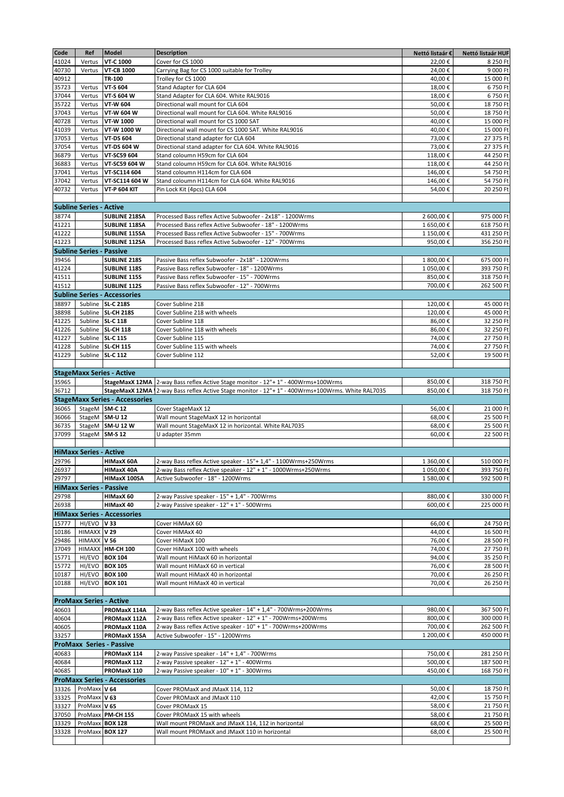| Code  | Ref                             | <b>Model</b>                          | <b>Description</b>                                                                | Nettó listaár € | Nettó listaár HUF |
|-------|---------------------------------|---------------------------------------|-----------------------------------------------------------------------------------|-----------------|-------------------|
| 41024 | Vertus                          | <b>VT-C 1000</b>                      | Cover for CS 1000                                                                 | 22,00€          | 8 250 Ft          |
| 40730 | Vertus                          | <b>VT-CB 1000</b>                     | Carrying Bag for CS 1000 suitable for Trolley                                     | 24,00€          | 9 000 Ft          |
| 40912 |                                 | TR-100                                | Trolley for CS 1000                                                               | 40,00€          | 15 000 Ft         |
| 35723 | Vertus                          | <b>VT-S 604</b>                       | Stand Adapter for CLA 604                                                         | 18,00€          | 6750 Ft           |
| 37044 | Vertus                          | VT-S 604 W                            | Stand Adapter for CLA 604. White RAL9016                                          | 18,00€          | 6750 Ft           |
| 35722 | Vertus                          | VT-W 604                              | Directional wall mount for CLA 604                                                | 50,00€          | 18 750 Ft         |
| 37043 | Vertus                          | VT-W 604 W                            | Directional wall mount for CLA 604. White RAL9016                                 | 50,00€          | 18 750 Ft         |
| 40728 | Vertus                          | VT-W 1000                             | Directional wall mount for CS 1000 SAT                                            | 40,00€          | 15 000 Ft         |
| 41039 | Vertus                          | VT-W 1000 W                           | Directional wall mount for CS 1000 SAT. White RAL9016                             | 40,00€          | 15 000 Ft         |
| 37053 | Vertus                          | <b>VT-DS 604</b>                      | Directional stand adapter for CLA 604                                             | 73,00€          | 27 375 Ft         |
| 37054 | Vertus                          | <b>VT-DS 604 W</b>                    | Directional stand adapter for CLA 604. White RAL9016                              | 73,00€          | 27 375 Ft         |
| 36879 | Vertus                          | VT-SC59 604                           | Stand coloumn H59cm for CLA 604                                                   | 118,00€         | 44 250 Ft         |
| 36883 | Vertus                          | VT-SC59 604 W                         | Stand coloumn H59cm for CLA 604. White RAL9016                                    | 118,00€         | 44 250 Ft         |
| 37041 | Vertus                          | VT-SC114 604                          | Stand coloumn H114cm for CLA 604                                                  | 146,00€         | 54 750 Ft         |
| 37042 | Vertus                          | VT-SC114 604 W                        | Stand coloumn H114cm for CLA 604. White RAL9016                                   | 146,00€         | 54 750 Ft         |
| 40732 | Vertus                          | <b>VT-P 604 KIT</b>                   | Pin Lock Kit (4pcs) CLA 604                                                       | 54,00€          | 20 250 Ft         |
|       |                                 |                                       |                                                                                   |                 |                   |
|       | <b>Subline Series - Active</b>  |                                       |                                                                                   |                 |                   |
| 38774 |                                 | <b>SUBLINE 218SA</b>                  | Processed Bass reflex Active Subwoofer - 2x18" - 1200Wrms                         | 2 600,00 €      | 975 000 Ft        |
| 41221 |                                 | <b>SUBLINE 118SA</b>                  | Processed Bass reflex Active Subwoofer - 18" - 1200Wrms                           | 1 650,00€       | 618 750 Ft        |
| 41222 |                                 | <b>SUBLINE 115SA</b>                  | Processed Bass reflex Active Subwoofer - 15" - 700Wrms                            | 1 150,00€       | 431 250 Ft        |
| 41223 |                                 | <b>SUBLINE 112SA</b>                  | Processed Bass reflex Active Subwoofer - 12" - 700Wrms                            | 950,00€         | 356 250 Ft        |
|       | <b>Subline Series - Passive</b> |                                       |                                                                                   |                 |                   |
| 39456 |                                 | <b>SUBLINE 218S</b>                   | Passive Bass reflex Subwoofer - 2x18" - 1200Wrms                                  | 1 800,00€       | 675 000 Ft        |
| 41224 |                                 | <b>SUBLINE 118S</b>                   | Passive Bass reflex Subwoofer - 18" - 1200Wrms                                    | 1 050,00€       | 393 750 Ft        |
| 41511 |                                 | <b>SUBLINE 115S</b>                   | Passive Bass reflex Subwoofer - 15" - 700Wrms                                     | 850,00€         | 318 750 Ft        |
| 41512 |                                 | <b>SUBLINE 112S</b>                   | Passive Bass reflex Subwoofer - 12" - 700Wrms                                     | 700,00€         | 262 500 Ft        |
|       |                                 | <b>Subline Series - Accessories</b>   |                                                                                   |                 |                   |
| 38897 |                                 | Subline SL-C 218S                     | Cover Subline 218                                                                 | 120,00€         | 45 000 Ft         |
| 38898 |                                 | Subline SL-CH 218S                    | Cover Subline 218 with wheels                                                     | 120,00€         | 45 000 Ft         |
| 41225 |                                 | Subline SL-C 118                      | Cover Subline 118                                                                 | 86,00€          | 32 250 Ft         |
| 41226 |                                 | Subline SL-CH 118                     | Cover Subline 118 with wheels                                                     | 86,00€          | 32 250 Ft         |
| 41227 |                                 | Subline SL-C 115                      | Cover Subline 115                                                                 | 74,00€          | 27 750 Ft         |
| 41228 |                                 | Subline SL-CH 115                     | Cover Subline 115 with wheels                                                     | 74,00€          | 27 750 Ft         |
| 41229 |                                 | Subline SL-C 112                      | Cover Subline 112                                                                 | 52,00€          | 19 500 Ft         |
|       |                                 |                                       |                                                                                   |                 |                   |
|       |                                 | <b>StageMaxx Series - Active</b>      |                                                                                   |                 |                   |
| 35965 |                                 | StageMaxX 12MA                        | 2-way Bass reflex Active Stage monitor - 12"+ 1" - 400Wrms+100Wrms                | 850,00€         | 318 750 Ft        |
| 36712 |                                 | StageMaxX 12MA                        | 2-way Bass reflex Active Stage monitor - 12"+ 1" - 400Wrms+100Wrms. White RAL7035 | 850,00€         | 318 750 Ft        |
|       |                                 | <b>StageMaxx Series - Accessories</b> |                                                                                   |                 |                   |
| 36065 |                                 | StageM SM-C 12                        | Cover StageMaxX 12                                                                | 56,00€          | 21 000 Ft         |
| 36066 |                                 | StageM SM-U 12                        | Wall mount StageMaxX 12 in horizontal                                             | 68,00€          | 25 500 Ft         |
| 36735 |                                 | StageM SM-U 12 W                      | Wall mount StageMaxX 12 in horizontal. White RAL7035                              | 68,00€          | 25 500 Ft         |
| 37099 | StageM SM-S 12                  |                                       | U adapter 35mm                                                                    | 60,00€          | 22 500 Ft         |
|       |                                 |                                       |                                                                                   |                 |                   |
|       | <b>HiMaxx Series - Active</b>   |                                       |                                                                                   |                 |                   |
| 29796 |                                 | <b>HIMaxX 60A</b>                     | 2-way Bass reflex Active speaker - 15"+ 1,4" - 1100Wrms+250Wrms                   | 1 360,00€       | 510 000 Ft        |
| 26937 |                                 | <b>HIMaxX 40A</b>                     | 2-way Bass reflex Active speaker - 12" + 1" - 1000Wrms+250Wrms                    | 1 050,00€       | 393 750 Ft        |
| 29797 |                                 | HIMaxX 100SA                          | Active Subwoofer - 18" - 1200Wrms                                                 | 1 580,00€       | 592 500 Ft        |
|       | <b>HiMaxx Series - Passive</b>  |                                       |                                                                                   |                 |                   |
| 29798 |                                 | HIMaxX 60                             | 2-way Passive speaker - 15" + 1,4" - 700Wrms                                      | 880,00€         | 330 000 Ft        |
| 26938 |                                 | HIMaxX 40                             | 2-way Passive speaker - 12" + 1" - 500Wrms                                        | 600,00€         | 225 000 Ft        |
|       |                                 | <b>HiMaxx Series - Accessories</b>    |                                                                                   |                 |                   |
| 15777 | HI/EVO V33                      |                                       | Cover HiMAxX 60                                                                   | 66,00€          | 24 750 Ft         |
| 10186 | HIMAXX V 29                     |                                       | Cover HiMAxX 40                                                                   | 44,00€          | 16 500 Ft         |
| 29486 | HIMAXX V 56                     |                                       | Cover HiMaxX 100                                                                  | 76,00€          | 28 500 Ft         |
| 37049 |                                 | HIMAXX HM-CH 100                      | Cover HiMaxX 100 with wheels                                                      | 74,00€          | 27 750 Ft         |
| 15771 |                                 | HI/EVO BOX 104                        | Wall mount HiMaxX 60 in horizontal                                                | 94,00€          | 35 250 Ft         |
| 15772 |                                 | HI/EVO BOX 105                        | Wall mount HiMaxX 60 in vertical                                                  | 76,00€          | 28 500 Ft         |
| 10187 |                                 | HI/EVO BOX 100                        | Wall mount HiMaxX 40 in horizontal                                                | 70,00€          | 26 250 Ft         |
| 10188 |                                 | HI/EVO BOX 101                        | Wall mount HiMaxX 40 in vertical                                                  | 70,00€          | 26 250 Ft         |
|       |                                 |                                       |                                                                                   |                 |                   |
|       | <b>ProMaxx Series - Active</b>  |                                       |                                                                                   |                 |                   |
| 40603 |                                 | PROMaxX 114A                          | 2-way Bass reflex Active speaker - 14" + 1,4" - 700Wrms+200Wrms                   | 980,00€         | 367 500 Ft        |
| 40604 |                                 | PROMaxX 112A                          | 2-way Bass reflex Active speaker - 12" + 1" - 700Wrms+200Wrms                     | 800,00€         | 300 000 Ft        |
| 40605 |                                 | PROMaxX 110A                          | 2-way Bass reflex Active speaker - 10" + 1" - 700Wrms+200Wrms                     | 700,00€         | 262 500 Ft        |
| 33257 |                                 | PROMaxX 15SA                          | Active Subwoofer - 15" - 1200Wrms                                                 | 1 200,00€       | 450 000 Ft        |
|       |                                 | <b>ProMaxx Series - Passive</b>       |                                                                                   |                 |                   |
| 40683 |                                 | PROMaxX 114                           | 2-way Passive speaker - 14" + 1,4" - 700Wrms                                      | 750,00€         | 281 250 Ft        |
| 40684 |                                 | PROMaxX 112                           | 2-way Passive speaker - 12" + 1" - 400Wrms                                        | 500,00€         | 187 500 Ft        |
| 40685 |                                 | PROMaxX 110                           | 2-way Passive speaker - 10" + 1" - 300Wrms                                        | 450,00€         | 168 750 Ft        |
|       |                                 | <b>ProMaxx Series - Accessories</b>   |                                                                                   |                 |                   |
| 33326 | ProMaxx V 64                    |                                       | Cover PROMaxX and JMaxX 114, 112                                                  | 50,00€          | 18750 Ft          |
| 33325 | ProMaxx V63                     |                                       | Cover PROMaxX and JMaxX 110                                                       | 42,00€          | 15 750 Ft         |
| 33327 | ProMaxx V65                     |                                       | Cover PROMaxX 15                                                                  | 58,00€          | 21 750 Ft         |
| 37050 |                                 | ProMaxx PM-CH 15S                     | Cover PROMaxX 15 with wheels                                                      | 58,00€          | 21 750 Ft         |
| 33329 | ProMaxx BOX 128                 |                                       | Wall mount PROMaxX and JMaxX 114, 112 in horizontal                               | 68,00€          | 25 500 Ft         |
| 33328 | ProMaxx BOX 127                 |                                       | Wall mount PROMaxX and JMaxX 110 in horizontal                                    | 68,00€          | 25 500 Ft         |
|       |                                 |                                       |                                                                                   |                 |                   |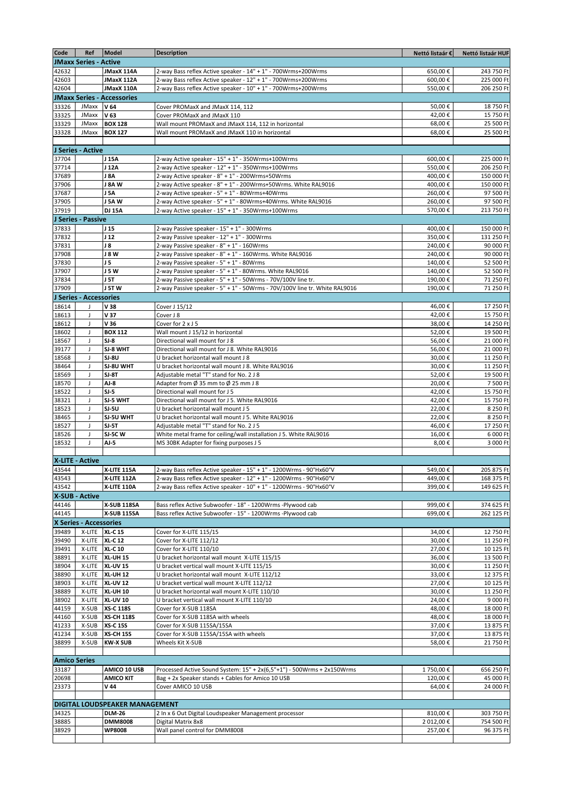| Code                | Ref                          | <b>Model</b>                              | <b>Description</b>                                                                                                 | Nettó listaár €    | Nettó listaár HUF        |
|---------------------|------------------------------|-------------------------------------------|--------------------------------------------------------------------------------------------------------------------|--------------------|--------------------------|
|                     | <b>JMaxx Series - Active</b> |                                           |                                                                                                                    |                    |                          |
| 42632               |                              | JMaxX 114A                                | 2-way Bass reflex Active speaker - 14" + 1" - 700Wrms+200Wrms                                                      | 650,00€            | 243 750 Ft               |
| 42603               |                              | JMaxX 112A                                | 2-way Bass reflex Active speaker - 12" + 1" - 700Wrms+200Wrms                                                      | 600,00€            | 225 000 Ft               |
| 42604               |                              | JMaxX 110A                                | 2-way Bass reflex Active speaker - 10" + 1" - 700Wrms+200Wrms                                                      | 550,00€            | 206 250 Ft               |
|                     | JMaxx                        | <b>JMaxx Series - Accessories</b><br>V 64 |                                                                                                                    |                    |                          |
| 33326<br>33325      | <b>JMaxx</b>                 | V 63                                      | Cover PROMaxX and JMaxX 114, 112<br>Cover PROMaxX and JMaxX 110                                                    | 50,00€<br>42,00€   | 18 750 Ft<br>15 750 Ft   |
| 33329               | JMaxx                        | <b>BOX 128</b>                            | Wall mount PROMaxX and JMaxX 114, 112 in horizontal                                                                | 68,00€             | 25 500 Ft                |
| 33328               | JMaxx                        | <b>BOX 127</b>                            | Wall mount PROMaxX and JMaxX 110 in horizontal                                                                     | 68,00€             | 25 500 Ft                |
|                     |                              |                                           |                                                                                                                    |                    |                          |
|                     | J Series - Active            |                                           |                                                                                                                    |                    |                          |
| 37704               |                              | J 15A                                     | 2-way Active speaker - 15" + 1" - 350Wrms+100Wrms                                                                  | 600,00€            | 225 000 Ft               |
| 37714               |                              | J 12A                                     | 2-way Active speaker - 12" + 1" - 350Wrms+100Wrms                                                                  | 550,00€            | 206 250 Ft               |
| 37689               |                              | <b>J 8A</b>                               | 2-way Active speaker - 8" + 1" - 200Wrms+50Wrms                                                                    | 400,00€            | 150 000 Ft               |
| 37906               |                              | J 8AW                                     | 2-way Active speaker - 8" + 1" - 200Wrms+50Wrms. White RAL9016                                                     | 400,00€            | 150 000 Ft               |
| 37687<br>37905      |                              | <b>J 5A</b><br>J 5AW                      | 2-way Active speaker - 5" + 1" - 80Wrms+40Wrms                                                                     | 260,00€<br>260,00€ | 97 500 Ft<br>97 500 Ft   |
| 37919               |                              | <b>DJ 15A</b>                             | 2-way Active speaker - 5" + 1" - 80Wrms+40Wrms. White RAL9016<br>2-way Active speaker - 15" + 1" - 350Wrms+100Wrms | 570,00€            | 213 750 Ft               |
|                     | J Series - Passive           |                                           |                                                                                                                    |                    |                          |
| 37833               |                              | J <sub>15</sub>                           | 2-way Passive speaker - 15" + 1" - 300Wrms                                                                         | 400,00€            | 150 000 Ft               |
| 37832               |                              | J <sub>12</sub>                           | 2-way Passive speaker - 12" + 1" - 300Wrms                                                                         | 350,00€            | 131 250 Ft               |
| 37831               |                              | J8                                        | 2-way Passive speaker - 8" + 1" - 160Wrms                                                                          | 240,00€            | 90 000 Ft                |
| 37908               |                              | <b>J 8 W</b>                              | 2-way Passive speaker - 8" + 1" - 160Wrms. White RAL9016                                                           | 240,00€            | 90 000 Ft                |
| 37830               |                              | J <sub>5</sub>                            | 2-way Passive speaker - 5" + 1" - 80Wrms                                                                           | 140,00€            | 52 500 Ft                |
| 37907               |                              | <b>J 5 W</b>                              | 2-way Passive speaker - 5" + 1" - 80Wrms. White RAL9016                                                            | 140,00€            | 52 500 Ft                |
| 37834               |                              | <b>J 5T</b>                               | 2-way Passive speaker - 5" + 1" - 50Wrms - 70V/100V line tr.                                                       | 190,00€            | 71 250 Ft                |
| 37909               |                              | J 5TW                                     | 2-way Passive speaker - 5" + 1" - 50Wrms - 70V/100V line tr. White RAL9016                                         | 190,00€            | 71 250 Ft                |
|                     | J Series - Accessories       | V 38                                      |                                                                                                                    |                    | 17 250 Ft                |
| 18614<br>18613      | J<br>J                       | V 37                                      | Cover J 15/12<br>Cover J 8                                                                                         | 46,00€<br>42,00€   | 15 750 Ft                |
| 18612               | J                            | V36                                       | Cover for 2 x J 5                                                                                                  | 38,00€             | 14 250 Ft                |
| 18602               | J                            | <b>BOX 112</b>                            | Wall mount J 15/12 in horizontal                                                                                   | 52,00€             | 19 500 Ft                |
| 18567               | J                            | $SI-8$                                    | Directional wall mount for J 8                                                                                     | 56,00€             | 21 000 Ft                |
| 39177               | J                            | SJ-8 WHT                                  | Directional wall mount for J 8. White RAL9016                                                                      | 56,00€             | 21 000 Ft                |
| 18568               | J                            | $SI-8U$                                   | U bracket horizontal wall mount J 8                                                                                | 30,00€             | 11 250 Ft                |
| 38464               | J                            | SJ-8U WHT                                 | U bracket horizontal wall mount J 8. White RAL9016                                                                 | 30,00€             | 11 250 Ft                |
| 18569               | J                            | SJ-8T                                     | Adjustable metal "T" stand for No. 2 J 8                                                                           | 52,00€             | 19 500 Ft                |
| 18570               | J                            | AJ-8                                      | Adapter from $\emptyset$ 35 mm to $\emptyset$ 25 mm J 8                                                            | 20,00€             | 7 500 Ft                 |
| 18522               | J<br>J                       | $SI-5$<br>SJ-5 WHT                        | Directional wall mount for J 5<br>Directional wall mount for J 5. White RAL9016                                    | 42,00€<br>42,00€   | 15 750 Ft<br>15 750 Ft   |
| 38321<br>18523      | J                            | $SI-5U$                                   | U bracket horizontal wall mount J 5                                                                                | 22,00€             | 8 250 Ft                 |
| 38465               | J                            | SJ-5U WHT                                 | U bracket horizontal wall mount J 5. White RAL9016                                                                 | 22,00€             | 8 250 Ft                 |
| 18527               | $\mathsf J$                  | $SI-5T$                                   | Adjustable metal "T" stand for No. 2 J 5                                                                           | 46,00€             | 17 250 Ft                |
| 18526               | $\mathsf J$                  | <b>SJ-5CW</b>                             | White metal frame for ceiling/wall installation J 5. White RAL9016                                                 | 16,00€             | 6 000 Ft                 |
| 18532               | $\mathsf J$                  | $AJ-5$                                    | MS 30BK Adapter for fixing purposes J 5                                                                            | 8,00€              | 3 000 Ft                 |
|                     |                              |                                           |                                                                                                                    |                    |                          |
|                     | X-LITE - Active              |                                           |                                                                                                                    |                    |                          |
| 43544               |                              | X-LITE 115A                               | 2-way Bass reflex Active speaker - 15" + 1" - 1200Wrms - 90°Hx60°V                                                 | 549,00€            | 205 875 Ft               |
| 43543               |                              | X-LITE 112A                               | 2-way Bass reflex Active speaker - 12" + 1" - 1200Wrms - 90°Hx60°V                                                 | 449,00€            | 168 375 Ft<br>149 625 Ft |
| 43542               | <b>X-SUB - Active</b>        | X-LITE 110A                               | 2-way Bass reflex Active speaker - 10" + 1" - 1200Wrms - 90°Hx60°V                                                 | 399,00€            |                          |
| 44146               |                              | <b>X-SUB 118SA</b>                        | Bass reflex Active Subwoofer - 18" - 1200Wrms -Plywood cab                                                         | 999,00€            | 374 625 Ft               |
| 44145               |                              | X-SUB 115SA                               | Bass reflex Active Subwoofer - 15" - 1200Wrms -Plywood cab                                                         | 699,00€            | 262 125 Ft               |
|                     | X Series - Accessories       |                                           |                                                                                                                    |                    |                          |
| 39489               |                              | X-LITE XL-C 15                            | Cover for X-LITE 115/15                                                                                            | 34,00€             | 12 750 Ft                |
| 39490               | X-LITE                       | XI-C 12                                   | Cover for X-LITE 112/12                                                                                            | 30,00€             | 11 250 Ft                |
| 39491               | X-LITE                       | <b>XL-C10</b>                             | Cover for X-LITE 110/10                                                                                            | 27,00€             | 10 125 Ft                |
| 38891               | X-LITE                       | <b>XL-UH 15</b>                           | U bracket horizontal wall mount X-LITE 115/15                                                                      | 36,00€             | 13 500 Ft                |
| 38904               | X-LITE                       | <b>XL-UV 15</b>                           | U bracket vertical wall mount X-LITE 115/15                                                                        | 30,00€             | 11 250 Ft                |
| 38890               | X-LITE<br>X-LITE             | <b>XL-UH 12</b>                           | U bracket horizontal wall mount X-LITE 112/12<br>U bracket vertical wall mount X-LITE 112/12                       | 33,00€             | 12 375 Ft<br>10 125 Ft   |
| 38903<br>38889      | X-LITE                       | <b>XL-UV 12</b><br><b>XL-UH 10</b>        | U bracket horizontal wall mount X-LITE 110/10                                                                      | 27,00€<br>30,00€   | 11 250 Ft                |
| 38902               | X-LITE                       | <b>XL-UV 10</b>                           | U bracket vertical wall mount X-LITE 110/10                                                                        | 24,00€             | 9 000 Ft                 |
| 44159               | X-SUB                        | <b>XS-C 118S</b>                          | Cover for X-SUB 118SA                                                                                              | 48,00€             | 18 000 Ft                |
| 44160               | X-SUB                        | <b>XS-CH 118S</b>                         | Cover for X-SUB 118SA with wheels                                                                                  | 48,00€             | 18 000 Ft                |
| 41233               | X-SUB                        | <b>XS-C 15S</b>                           | Cover for X-SUB 115SA/15SA                                                                                         | 37,00€             | 13 875 Ft                |
| 41234               | X-SUB                        | <b>XS-CH 15S</b>                          | Cover for X-SUB 115SA/15SA with wheels                                                                             | 37,00€             | 13 875 Ft                |
| 38899               | X-SUB                        | <b>KW-X SUB</b>                           | Wheels Kit X-SUB                                                                                                   | 58,00€             | 21 750 Ft                |
|                     |                              |                                           |                                                                                                                    |                    |                          |
| <b>Amico Series</b> |                              |                                           |                                                                                                                    |                    |                          |
| 33187               |                              | AMICO 10 USB                              | Processed Active Sound System: 15" + 2x(6,5"+1") - 500Wrms + 2x150Wrms                                             | 1750,00€           | 656 250 Ft               |
| 20698<br>23373      |                              | <b>AMICO KIT</b><br>$V$ 44                | Bag + 2x Speaker stands + Cables for Amico 10 USB<br>Cover AMICO 10 USB                                            | 120,00€<br>64,00€  | 45 000 Ft<br>24 000 Ft   |
|                     |                              |                                           |                                                                                                                    |                    |                          |
|                     |                              | DIGITAL LOUDSPEAKER MANAGEMENT            |                                                                                                                    |                    |                          |
| 34325               |                              | <b>DLM-26</b>                             | 2 In x 6 Out Digital Loudspeaker Management processor                                                              | 810,00€            | 303 750 Ft               |
| 38885               |                              | <b>DMM8008</b>                            | Digital Matrix 8x8                                                                                                 | 2 012,00€          | 754 500 Ft               |
| 38929               |                              | WP8008                                    | Wall panel control for DMM8008                                                                                     | 257,00€            | 96 375 Ft                |
|                     |                              |                                           |                                                                                                                    |                    |                          |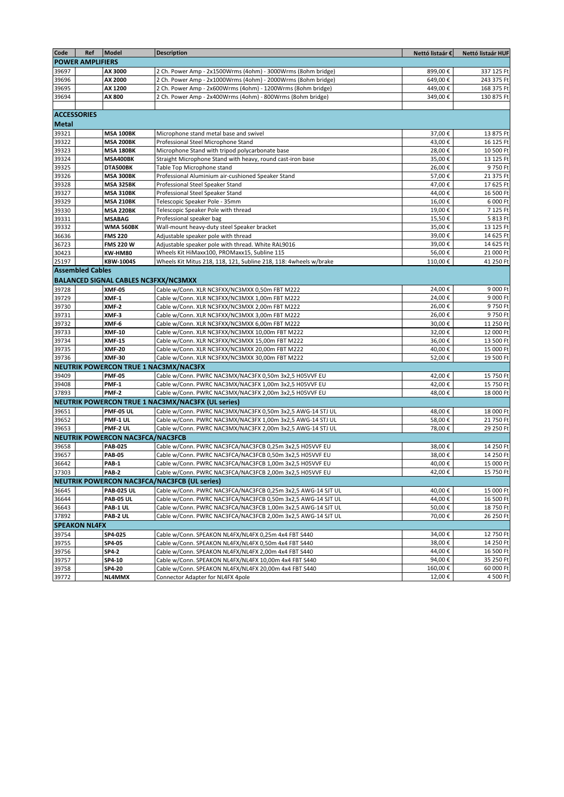| Code         | Ref                     | <b>Model</b>                                | <b>Description</b>                                                | Nettó listaár € | Nettó listaár HUF |
|--------------|-------------------------|---------------------------------------------|-------------------------------------------------------------------|-----------------|-------------------|
|              | <b>POWER AMPLIFIERS</b> |                                             |                                                                   |                 |                   |
| 39697        |                         | AX 3000                                     | 2 Ch. Power Amp - 2x1500Wrms (4ohm) - 3000Wrms (8ohm bridge)      | 899,00€         | 337 125 Ft        |
| 39696        |                         | AX 2000                                     | 2 Ch. Power Amp - 2x1000Wrms (4ohm) - 2000Wrms (8ohm bridge)      | 649,00€         | 243 375 Ft        |
| 39695        |                         | AX 1200                                     | 2 Ch. Power Amp - 2x600Wrms (4ohm) - 1200Wrms (8ohm bridge)       | 449,00€         | 168 375 Ft        |
| 39694        |                         | AX 800                                      | 2 Ch. Power Amp - 2x400Wrms (4ohm) - 800Wrms (8ohm bridge)        | 349,00€         | 130 875 Ft        |
|              |                         |                                             |                                                                   |                 |                   |
|              | <b>ACCESSORIES</b>      |                                             |                                                                   |                 |                   |
| <b>Metal</b> |                         |                                             |                                                                   |                 |                   |
| 39321        |                         | <b>MSA 100BK</b>                            | Microphone stand metal base and swivel                            | 37,00€          | 13 875 Ft         |
| 39322        |                         | <b>MSA 200BK</b>                            | Professional Steel Microphone Stand                               | 43,00€          | 16 125 Ft         |
| 39323        |                         | <b>MSA 180BK</b>                            | Microphone Stand with tripod polycarbonate base                   | 28,00€          | 10 500 Ft         |
| 39324        |                         | MSA400BK                                    | Straight Microphone Stand with heavy, round cast-iron base        | 35,00€          | 13 125 Ft         |
| 39325        |                         | DTA500BK                                    | Table Top Microphone stand                                        | 26,00€          | 9750 Ft           |
| 39326        |                         | <b>MSA 300BK</b>                            | Professional Aluminium air-cushioned Speaker Stand                | 57,00€          | 21 375 Ft         |
| 39328        |                         | <b>MSA 325BK</b>                            | Professional Steel Speaker Stand                                  | 47,00€          | 17 625 Ft         |
| 39327        |                         | <b>MSA 310BK</b>                            | Professional Steel Speaker Stand                                  | 44,00€          | 16 500 Ft         |
| 39329        |                         | <b>MSA 210BK</b>                            | Telescopic Speaker Pole - 35mm                                    | 16,00€          | 6 000 Ft          |
| 39330        |                         | <b>MSA 220BK</b>                            | Telescopic Speaker Pole with thread                               | 19,00€          | 7 125 Ft          |
| 39331        |                         | <b>MSABAG</b>                               | Professional speaker bag                                          | 15,50€          | 5 813 Ft          |
| 39332        |                         | <b>WMA 560BK</b>                            | Wall-mount heavy-duty steel Speaker bracket                       | 35,00€          | 13 125 Ft         |
| 36636        |                         | <b>FMS 220</b>                              | Adjustable speaker pole with thread                               | 39,00€          | 14 625 Ft         |
| 36723        |                         | <b>FMS 220 W</b>                            | Adjustable speaker pole with thread. White RAL9016                | 39,00€          | 14 625 Ft         |
| 30423        |                         | <b>KW-HM80</b>                              | Wheels Kit HiMaxx100, PROMaxx15, Subline 115                      | 56,00€          | 21 000 Ft         |
| 25197        |                         | <b>KBW-1004S</b>                            | Wheels Kit Mitus 218, 118, 121, Subline 218, 118: 4wheels w/brake | 110,00€         | 41 250 Ft         |
|              | <b>Assembled Cables</b> |                                             |                                                                   |                 |                   |
|              |                         | <b>BALANCED SIGNAL CABLES NC3FXX/NC3MXX</b> |                                                                   |                 |                   |
| 39728        |                         | <b>XMF-05</b>                               | Cable w/Conn. XLR NC3FXX/NC3MXX 0,50m FBT M222                    | 24,00€          | 9 000 Ft          |
| 39729        |                         | XMF-1                                       | Cable w/Conn. XLR NC3FXX/NC3MXX 1.00m FBT M222                    | 24.00€          | 9 000 Ft          |
| 39730        |                         | XMF-2                                       | Cable w/Conn. XLR NC3FXX/NC3MXX 2,00m FBT M222                    | 26,00€          | 9750 Ft           |
| 39731        |                         | XMF-3                                       | Cable w/Conn. XLR NC3FXX/NC3MXX 3,00m FBT M222                    | 26,00€          | 9750 Ft           |
| 39732        |                         | XMF-6                                       | Cable w/Conn. XLR NC3FXX/NC3MXX 6,00m FBT M222                    | 30,00€          | 11 250 Ft         |
| 39733        |                         | <b>XMF-10</b>                               | Cable w/Conn. XLR NC3FXX/NC3MXX 10,00m FBT M222                   | 32,00€          | 12 000 Ft         |
| 39734        |                         | <b>XMF-15</b>                               | Cable w/Conn. XLR NC3FXX/NC3MXX 15,00m FBT M222                   | 36,00€          | 13 500 Ft         |
| 39735        |                         | <b>XMF-20</b>                               | Cable w/Conn. XLR NC3FXX/NC3MXX 20,00m FBT M222                   | 40,00€          | 15 000 Ft         |
| 39736        |                         | <b>XMF-30</b>                               | Cable w/Conn. XLR NC3FXX/NC3MXX 30,00m FBT M222                   | 52,00€          | 19 500 Ft         |
|              |                         | NEUTRIK POWERCON TRUE 1 NAC3MX/NAC3FX       |                                                                   |                 |                   |
| 39409        |                         | <b>PMF-05</b>                               | Cable w/Conn. PWRC NAC3MX/NAC3FX 0,50m 3x2,5 H05VVF EU            | 42,00€          | 15 750 Ft         |
| 39408        |                         | PMF-1                                       | Cable w/Conn. PWRC NAC3MX/NAC3FX 1,00m 3x2,5 H05VVF EU            | 42,00€          | 15 750 Ft         |
| 37893        |                         | PMF-2                                       | Cable w/Conn. PWRC NAC3MX/NAC3FX 2,00m 3x2,5 H05VVF EU            | 48,00€          | 18 000 Ft         |
|              |                         |                                             | NEUTRIK POWERCON TRUE 1 NAC3MX/NAC3FX (UL series)                 |                 |                   |
| 39651        |                         | <b>PMF-05 UL</b>                            | Cable w/Conn. PWRC NAC3MX/NAC3FX 0,50m 3x2,5 AWG-14 STJ UL        | 48,00€          | 18 000 Ft         |
| 39652        |                         | PMF-1 UL                                    | Cable w/Conn. PWRC NAC3MX/NAC3FX 1,00m 3x2,5 AWG-14 STJ UL        | 58,00€          | 21 750 Ft         |
| 39653        |                         | PMF-2 UL                                    | Cable w/Conn. PWRC NAC3MX/NAC3FX 2,00m 3x2,5 AWG-14 STJ UL        | 78.00€          | 29 250 Ft         |
|              |                         | NEUTRIK POWERCON NAC3FCA/NAC3FCB            |                                                                   |                 |                   |
| 39658        |                         | <b>PAB-025</b>                              | Cable w/Conn. PWRC NAC3FCA/NAC3FCB 0,25m 3x2,5 H05VVF EU          | 38,00€          | 14 250 Ft         |
| 39657        |                         | <b>PAB-05</b>                               | Cable w/Conn. PWRC NAC3FCA/NAC3FCB 0,50m 3x2,5 H05VVF EU          | 38,00€          | 14 250 Ft         |
| 36642        |                         | PAB-1                                       | Cable w/Conn. PWRC NAC3FCA/NAC3FCB 1,00m 3x2,5 H05VVF EU          | 40,00€          | 15 000 Ft         |
| 37303        |                         | PAB-2                                       | Cable w/Conn. PWRC NAC3FCA/NAC3FCB 2,00m 3x2,5 H05VVF EU          | 42,00€          | 15 750 Ft         |
|              |                         |                                             | <b>NEUTRIK POWERCON NAC3FCA/NAC3FCB (UL series)</b>               |                 |                   |
| 36645        |                         | <b>PAB-025 UL</b>                           | Cable w/Conn. PWRC NAC3FCA/NAC3FCB 0,25m 3x2,5 AWG-14 SJT UL      | 40,00€          | 15 000 Ft         |
| 36644        |                         | <b>PAB-05 UL</b>                            | Cable w/Conn. PWRC NAC3FCA/NAC3FCB 0,50m 3x2,5 AWG-14 SJT UL      | 44,00€          | 16 500 Ft         |
| 36643        |                         | PAB-1 UL                                    | Cable w/Conn. PWRC NAC3FCA/NAC3FCB 1,00m 3x2,5 AWG-14 SJT UL      | 50,00€          | 18 750 Ft         |
| 37892        |                         | PAB-2 UL                                    | Cable w/Conn. PWRC NAC3FCA/NAC3FCB 2,00m 3x2,5 AWG-14 SJT UL      | 70,00€          | 26 250 Ft         |
|              | <b>SPEAKON NL4FX</b>    |                                             |                                                                   |                 |                   |
| 39754        |                         | SP4-025                                     | Cable w/Conn. SPEAKON NL4FX/NL4FX 0,25m 4x4 FBT S440              | 34,00€          | 12 750 Ft         |
| 39755        |                         | SP4-05                                      | Cable w/Conn. SPEAKON NL4FX/NL4FX 0,50m 4x4 FBT S440              | 38,00€          | 14 250 Ft         |
| 39756        |                         | SP4-2                                       | Cable w/Conn. SPEAKON NL4FX/NL4FX 2,00m 4x4 FBT S440              | 44,00€          | 16 500 Ft         |
| 39757        |                         | SP4-10                                      | Cable w/Conn. SPEAKON NL4FX/NL4FX 10,00m 4x4 FBT S440             | 94,00€          | 35 250 Ft         |
| 39758        |                         | SP4-20                                      | Cable w/Conn. SPEAKON NL4FX/NL4FX 20,00m 4x4 FBT S440             | 160,00€         | 60 000 Ft         |
| 39772        |                         | NL4MMX                                      | Connector Adapter for NL4FX 4pole                                 | 12,00€          | 4 500 Ft          |
|              |                         |                                             |                                                                   |                 |                   |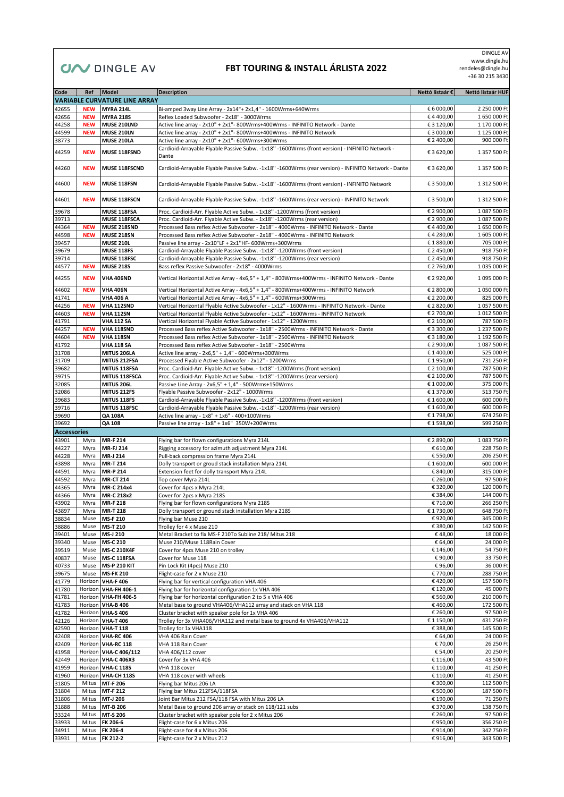## **CIV DINGLE AV**

#### **FBT TOURING & INSTALL ÁRLISTA 2022**

 DINGLE AV www.dingle.hu rendeles@dingle.hu +36 30 215 3430

| Code               | Ref        | Model                                | <b>Description</b>                                                                                  | Nettó listaár € | Nettó listaár HUF |
|--------------------|------------|--------------------------------------|-----------------------------------------------------------------------------------------------------|-----------------|-------------------|
|                    |            | <b>VARIABLE CURVATURE LINE ARRAY</b> |                                                                                                     |                 |                   |
|                    |            |                                      |                                                                                                     |                 |                   |
| 42655              | <b>NEW</b> | <b>MYRA 214L</b>                     | Bi-amped 3way Line Array - 2x14"+ 2x1,4" - 1600Wrms+640Wrms                                         | € 6 000,00      | 2 250 000 Ft      |
| 42656              | <b>NEW</b> | <b>MYRA 218S</b>                     | Reflex Loaded Subwoofer - 2x18" - 3000Wrms                                                          | €4400,00        | 1 650 000 Ft      |
| 44258              | <b>NEW</b> | MUSE 210LND                          | Active line array - 2x10" + 2x1"- 800Wrms+400Wrms - INFINITO Network - Dante                        | € 3 120,00      | 1 170 000 Ft      |
| 44599              | <b>NEW</b> | <b>MUSE 210LN</b>                    | Active line array - 2x10" + 2x1"- 800Wrms+400Wrms - INFINITO Network                                | € 3 000,00      | 1 125 000 Ft      |
| 38773              |            | MUSE 210LA                           | Active line array - 2x10" + 2x1"- 600Wrms+300Wrms                                                   | € 2 400,00      | 900 000 Ft        |
| 44259              | <b>NEW</b> | MUSE 118FSND                         | Cardioid-Arrayable Flyable Passive Subw. -1x18" -1600Wrms (front version) - INFINITO Network -      | € 3 620,00      | 1 357 500 Ft      |
|                    |            |                                      | Dante                                                                                               |                 |                   |
| 44260              | <b>NEW</b> | MUSE 118FSCND                        | Cardioid-Arrayable Flyable Passive Subw. -1x18" -1600Wrms (rear version) - INFINITO Network - Dante | € 3 620,00      | 1 357 500 Ft      |
|                    |            |                                      |                                                                                                     |                 |                   |
| 44600              | <b>NEW</b> | MUSE 118FSN                          | Cardioid-Arrayable Flyable Passive Subw. -1x18" -1600Wrms (front version) - INFINITO Network        | € 3 500,00      | 1 312 500 Ft      |
|                    |            |                                      |                                                                                                     |                 |                   |
|                    |            |                                      |                                                                                                     |                 |                   |
| 44601              | <b>NEW</b> | MUSE 118FSCN                         | Cardioid-Arrayable Flyable Passive Subw. -1x18" -1600Wrms (rear version) - INFINITO Network         | € 3 500,00      | 1 312 500 Ft      |
| 39678              |            | MUSE 118FSA                          | Proc. Cardioid-Arr. Flyable Active Subw. - 1x18" -1200Wrms (front version)                          | € 2 900,00      | 1 087 500 Ft      |
| 39713              |            | MUSE 118FSCA                         | Proc. Cardioid-Arr. Flyable Active Subw. - 1x18" -1200Wrms (rear version)                           | € 2 900,00      | 1 087 500 Ft      |
| 44364              | <b>NEW</b> | MUSE 218SND                          | Processed Bass reflex Active Subwoofer - 2x18" - 4000Wrms - INFINITO Network - Dante                | €4400,00        | 1 650 000 Ft      |
| 44598              | <b>NEW</b> | <b>MUSE 218SN</b>                    | Processed Bass reflex Active Subwoofer - 2x18" - 4000Wrms - INFINITO Network                        | €4 280,00       | 1 605 000 Ft      |
| 39457              |            | <b>MUSE 210L</b>                     | Passive line array - 2x10"LF + 2x1"HF- 600Wrms+300Wrms                                              | € 1 880,00      | 705 000 Ft        |
|                    |            |                                      |                                                                                                     |                 |                   |
| 39679              |            | MUSE 118FS                           | Cardioid-Arrayable Flyable Passive Subw. -1x18" -1200Wrms (front version)                           | € 2 450,00      | 918 750 Ft        |
| 39714              |            | MUSE 118FSC                          | Cardioid-Arrayable Flyable Passive Subw. -1x18" -1200Wrms (rear version)                            | € 2 450,00      | 918 750 Ft        |
| 44577              | <b>NEW</b> | <b>MUSE 218S</b>                     | Bass reflex Passive Subwoofer - 2x18" - 4000Wrms                                                    | € 2 760,00      | 1 035 000 Ft      |
| 44255              | <b>NEW</b> | <b>VHA 406ND</b>                     | Vertical Horizontal Active Array - 4x6,5" + 1,4" - 800Wrms+400Wrms - INFINITO Network - Dante       | € 2 920,00      | 1 095 000 Ft      |
|                    |            |                                      |                                                                                                     |                 |                   |
| 44602              | <b>NEW</b> | <b>VHA 406N</b>                      | Vertical Horizontal Active Array - 4x6,5" + 1,4" - 800Wrms+400Wrms - INFINITO Network               | € 2 800,00      | 1 050 000 Ft      |
| 41741              |            | <b>VHA 406 A</b>                     | Vertical Horizontal Active Array - 4x6,5" + 1,4" - 600Wrms+300Wrms                                  | € 2 200,00      | 825 000 Ft        |
| 44256              | <b>NEW</b> | VHA 112SND                           | Vertical Horizontal Flyable Active Subwoofer - 1x12" - 1600Wrms - INFINITO Network - Dante          | € 2 820,00      | 1 057 500 Ft      |
| 44603              | <b>NEW</b> | <b>VHA 112SN</b>                     | Vertical Horizontal Flyable Active Subwoofer - 1x12" - 1600Wrms - INFINITO Network                  | € 2 700,00      | 1 012 500 Ft      |
| 41791              |            | <b>VHA 112 SA</b>                    | Vertical Horizontal Flyable Active Subwoofer - 1x12" - 1200Wrms                                     | € 2 100,00      | 787 500 Ft        |
| 44257              | <b>NEW</b> | VHA 118SND                           | Processed Bass reflex Active Subwoofer - 1x18" - 2500Wrms - INFINITO Network - Dante                | € 3 300,00      | 1 237 500 Ft      |
| 44604              | <b>NEW</b> | <b>VHA 118SN</b>                     | Processed Bass reflex Active Subwoofer - 1x18" - 2500Wrms - INFINITO Network                        | € 3 180,00      | 1 192 500 Ft      |
| 41792              |            | <b>VHA 118 SA</b>                    | Processed Bass reflex Active Subwoofer - 1x18" - 2500Wrms                                           | € 2 900,00      | 1 087 500 Ft      |
| 31708              |            | MITUS 206LA                          | Active line array - 2x6,5" + 1,4" - 600Wrms+300Wrms                                                 | € 1 400,00      | 525 000 Ft        |
|                    |            |                                      |                                                                                                     | € 1950,00       | 731 250 Ft        |
| 31709              |            | MITUS 212FSA                         | Processed Flyable Active Subwoofer - 2x12" - 1200Wrms                                               |                 |                   |
| 39682              |            | MITUS 118FSA                         | Proc. Cardioid-Arr. Flyable Active Subw. - 1x18" -1200Wrms (front version)                          | € 2 100,00      | 787 500 Ft        |
| 39715              |            | MITUS 118FSCA                        | Proc. Cardioid-Arr. Flyable Active Subw. - 1x18" -1200Wrms (rear version)                           | € 2 100,00      | 787 500 Ft        |
| 32085              |            | MITUS 206L                           | Passive Line Array - 2x6,5" + 1,4" - 500Wrms+150Wrms                                                | € 1 000,00      | 375 000 Ft        |
| 32086              |            | MITUS 212FS                          | Flyable Passive Subwoofer - 2x12" - 1000Wrms                                                        | €1370,00        | 513 750 Ft        |
| 39683              |            | MITUS 118FS                          | Cardioid-Arrayable Flyable Passive Subw. -1x18" -1200Wrms (front version)                           | € 1 600,00      | 600 000 Ft        |
| 39716              |            | MITUS 118FSC                         | Cardioid-Arrayable Flyable Passive Subw. -1x18" -1200Wrms (rear version)                            | € 1 600,00      | 600 000 Ft        |
| 39690              |            | <b>QA 108A</b>                       | Active line array - 1x8" + 1x6" - 400+100Wrms                                                       | € 1 798,00      | 674 250 Ft        |
| 39692              |            | <b>QA 108</b>                        | Passive line array - 1x8" + 1x6" 350W+200Wrms                                                       | € 1 598,00      | 599 250 Ft        |
| <b>Accessories</b> |            |                                      |                                                                                                     |                 |                   |
| 43901              | Myra       | <b>MR-F 214</b>                      | Flying bar for flown configurations Myra 214L                                                       | € 2 890,00      | 1 083 750 Ft      |
| 44227              | Myra       | <b>MR-FJ 214</b>                     | Rigging accessory for azimuth adjustment Myra 214L                                                  | € 610,00        | 228 750 Ft        |
| 44228              | Myra       | MR-J 214                             | Pull-back compression frame Myra 214L                                                               | € 550,00        | 206 250 Ft        |
|                    |            |                                      |                                                                                                     |                 |                   |
| 43898              | Myra       | <b>MR-T 214</b>                      | Dolly transport or groud stack installation Myra 214L                                               | € 1 600,00      | 600 000 Ft        |
| 44591              | Myra       | <b>MR-P 214</b>                      | Extension feet for dolly transport Myra 214L                                                        | € 840,00        | 315 000 Ft        |
| 44592              | Myra       | <b>MR-CT 214</b>                     | Top cover Myra 214L                                                                                 | € 260,00        | 97 500 Ft         |
| 44365              | Myra       | MR-C 214x4                           | Cover for 4pcs x Myra 214L                                                                          | € 320,00        | 120 000 Ft        |
| 44366              | Myra       | MR-C 218x2                           | Cover for 2pcs x Myra 218S                                                                          | € 384,00        | 144 000 Ft        |
| 43902              | Myra       | <b>MR-F218</b>                       | Flying bar for flown configurations Myra 218S                                                       | € 710,00        | 266 250 Ft        |
| 43897              |            | Myra MR-T 218                        | Dolly transport or ground stack installation Myra 2185                                              | € 1 730,00      | 648 750 Ft        |
| 38834              |            | Muse MS-F 210                        | Flying bar Muse 210                                                                                 | €920,00         | 345 000 Ft        |
| 38886              | Muse       | <b>MS-T 210</b>                      | Trolley for 4 x Muse 210                                                                            | € 380,00        | 142 500 Ft        |
| 39401              | Muse       | MS-J 210                             | Metal Bracket to fix MS-F 210To Subline 218/ Mitus 218                                              | €48,00          | 18 000 Ft         |
| 39340              | Muse       | MS-C 210                             | Muse 210/Muse 118Rain Cover                                                                         | € 64,00         | 24 000 Ft         |
| 39519              | Muse       | <b>MS-C 210X4F</b>                   | Cover for 4pcs Muse 210 on trolley                                                                  | € 146,00        | 54 750 Ft         |
| 40837              | Muse       | MS-C 118FSA                          | Cover for Muse 118                                                                                  | €90,00          | 33 750 Ft         |
| 40733              | Muse       | <b>MS-P 210 KIT</b>                  | Pin Lock Kit (4pcs) Muse 210                                                                        | €96,00          | 36 000 Ft         |
| 39675              | Muse       | <b>MS-FK 210</b>                     | Flight-case for 2 x Muse 210                                                                        | € 770,00        | 288 750 Ft        |
| 41779              |            | Horizon VHA-F 406                    | Flying bar for vertical configuration VHA 406                                                       | €420,00         | 157 500 Ft        |
| 41780              |            | Horizon VHA-FH 406-1                 | Flying bar for horizontal configuration 1x VHA 406                                                  | € 120,00        | 45 000 Ft         |
| 41781              |            | Horizon VHA-FH 406-5                 | Flying bar for horizontal configuration 2 to 5 x VHA 406                                            | € 560,00        | 210 000 Ft        |
|                    |            |                                      |                                                                                                     |                 |                   |
| 41783              |            | Horizon VHA-B 406                    | Metal base to ground VHA406/VHA112 array and stack on VHA 118                                       | €460,00         | 172 500 Ft        |
| 41782              |            | Horizon VHA-S 406                    | Cluster bracket with speaker pole for 1x VHA 406                                                    | € 260,00        | 97 500 Ft         |
| 42126              |            | Horizon VHA-T 406                    | Trolley for 3x VHA406/VHA112 and metal base to ground 4x VHA406/VHA112                              | € 1 150,00      | 431 250 Ft        |
| 42590              |            | Horizon VHA-T 118                    | Trolley for 1x VHA118                                                                               | € 388,00        | 145 500 Ft        |
| 42408              |            | Horizon VHA-RC 406                   | VHA 406 Rain Cover                                                                                  | € 64,00         | 24 000 Ft         |
| 42409              |            | Horizon VHA-RC 118                   | VHA 118 Rain Cover                                                                                  | € 70,00         | 26 250 Ft         |
| 41958              |            | Horizon VHA-C 406/112                | VHA 406/112 cover                                                                                   | € 54,00         | 20 250 Ft         |
| 42449              |            | Horizon VHA-C 406X3                  | Cover for 3x VHA 406                                                                                | € 116,00        | 43 500 Ft         |
| 41959              |            | Horizon VHA-C 118S                   | VHA 118 cover                                                                                       | € 110,00        | 41 250 Ft         |
| 41960              |            | Horizon VHA-CH 118S                  | VHA 118 cover with wheels                                                                           | € 110,00        | 41 250 Ft         |
| 31805              | Mitus      | MT-F 206                             | Flying bar Mitus 206 LA                                                                             | € 300,00        | 112 500 Ft        |
| 31804              | Mitus      | MT-F 212                             | Flying bar Mitus 212FSA/118FSA                                                                      | € 500,00        | 187 500 Ft        |
| 31806              | Mitus      | MT-J 206                             | Joint Bar Mitus 212 FSA/118 FSA with Mitus 206 LA                                                   | € 190,00        | 71 250 Ft         |
| 31888              | Mitus      | MT-B 206                             | Metal Base to ground 206 array or stack on 118/121 subs                                             | € 370,00        | 138 750 Ft        |
|                    |            |                                      |                                                                                                     |                 |                   |
| 33324              | Mitus      | MT-S 206                             | Cluster bracket with speaker pole for 2 x Mitus 206                                                 | € 260,00        | 97 500 Ft         |
| 33933              | Mitus      | FK 206-6                             | Flight-case for 6 x Mitus 206                                                                       | € 950,00        | 356 250 Ft        |
| 34911              | Mitus      | FK 206-4                             | Flight-case for 4 x Mitus 206                                                                       | € 914,00        | 342 750 Ft        |
| 33931              |            | Mitus FK 212-2                       | Flight-case for 2 x Mitus 212                                                                       | €916,00         | 343 500 Ft        |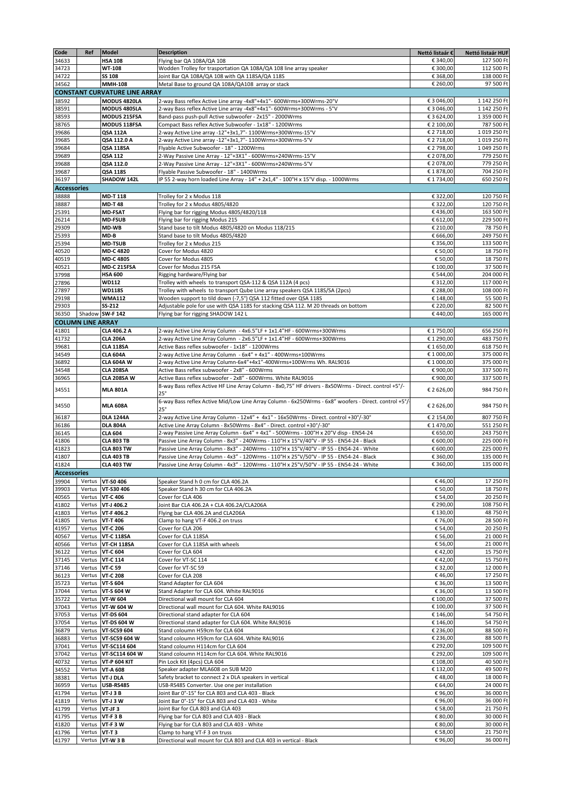| Code               | Ref                      | <b>Model</b>                         | <b>Description</b>                                                                                    | Nettó listaár € | Nettó listaár HUF |
|--------------------|--------------------------|--------------------------------------|-------------------------------------------------------------------------------------------------------|-----------------|-------------------|
| 34633              |                          | <b>HSA 108</b>                       | Flying bar QA 108A/QA 108                                                                             | € 340,00        | 127 500 Ft        |
| 34723              |                          | WT-108                               | Wodden Trolley for trasportation QA 108A/QA 108 line array speaker                                    | € 300,00        | 112 500 Ft        |
| 34722              |                          | <b>SS 108</b>                        | Joint Bar QA 108A/QA 108 with QA 118SA/QA 118S                                                        | € 368,00        | 138 000 Ft        |
| 34562              |                          | <b>MMH-108</b>                       | Metal Base to ground QA 108A/QA108 array or stack                                                     | € 260,00        | 97 500 Ft         |
|                    |                          | <b>CONSTANT CURVATURE LINE ARRAY</b> |                                                                                                       |                 |                   |
| 38592              |                          | MODUS 4820LA                         | 2-way Bass reflex Active Line array -4x8"+4x1"- 600Wrms+300Wrms-20°V                                  | € 3 046,00      | 1 142 250 Ft      |
| 38591              |                          | <b>MODUS 4805LA</b>                  | 2-way Bass reflex Active Line array -4x8"+4x1"- 600Wrms+300Wrms - 5°V                                 | € 3 046,00      | 1 142 250 Ft      |
|                    |                          |                                      |                                                                                                       | € 3 624,00      | 1 359 000 Ft      |
| 38593              |                          | MODUS 215FSA                         | Band-pass push-pull Active subwoofer - 2x15" - 2000Wrms                                               |                 |                   |
| 38765              |                          | MODUS 118FSA                         | Compact Bass reflex Active Subwoofer - 1x18" - 1200Wrms                                               | € 2 100,00      | 787 500 Ft        |
| 39686              |                          | QSA 112A                             | 2-way Active Line array -12"+3x1,7"- 1100Wrms+300Wrms-15°V                                            | € 2 718,00      | 1 019 250 Ft      |
| 39685              |                          | QSA 112.0 A                          | 2-way Active Line array -12"+3x1,7"- 1100Wrms+300Wrms-5°V                                             | € 2 718,00      | 1 019 250 Ft      |
| 39684              |                          | QSA 118SA                            | Flyable Active Subwoofer - 18" - 1200Wrms                                                             | € 2 798,00      | 1 049 250 Ft      |
| 39689              |                          | QSA 112                              | 2-Way Passive Line Array - 12"+3X1" - 600Wrms+240Wrms-15°V                                            | € 2 078,00      | 779 250 Ft        |
| 39688              |                          | QSA 112.0                            | 2-Way Passive Line Array - 12"+3X1" - 600Wrms+240Wrms-5°V                                             | € 2 078,00      | 779 250 Ft        |
| 39687              |                          | QSA 118S                             | Flyable Passive Subwoofer - 18" - 1400Wrms                                                            | € 1878,00       | 704 250 Ft        |
| 36197              |                          | SHADOW 142L                          | IP 55 2-way horn loaded Line Array - 14" + 2x1,4" - 100°H x 15°V disp. - 1000Wrms                     | € 1 734,00      | 650 250 Ft        |
| <b>Accessories</b> |                          |                                      |                                                                                                       |                 |                   |
| 38888              |                          | <b>MD-T118</b>                       | Trolley for 2 x Modus 118                                                                             | € 322,00        | 120 750 Ft        |
| 38887              |                          | <b>MD-T48</b>                        | Trolley for 2 x Modus 4805/4820                                                                       | € 322,00        | 120 750 Ft        |
| 25391              |                          | <b>MD-FSAT</b>                       | Flying bar for rigging Modus 4805/4820/118                                                            | €436,00         | 163 500 Ft        |
| 26214              |                          | <b>MD-FSUB</b>                       | Flying bar for rigging Modus 215                                                                      | € 612,00        | 229 500 Ft        |
| 29309              |                          | MD-WB                                | Stand base to tilt Modus 4805/4820 on Modus 118/215                                                   | € 210,00        | 78 750 Ft         |
| 25393              |                          | MD-B                                 | Stand base to tilt Modus 4805/4820                                                                    | € 666,00        | 249 750 Ft        |
| 25394              |                          | <b>MD-TSUB</b>                       | Trolley for 2 x Modus 215                                                                             | € 356,00        | 133 500 Ft        |
|                    |                          | MD-C 4820                            |                                                                                                       | € 50,00         | 18 750 Ft         |
| 40520<br>40519     |                          | MD-C 4805                            | Cover for Modus 4820<br>Cover for Modus 4805                                                          | € 50,00         | 18 750 Ft         |
|                    |                          |                                      | Cover for Modus 215 FSA                                                                               | € 100,00        | 37 500 Ft         |
| 40521              |                          | <b>MD-C 215FSA</b>                   |                                                                                                       |                 |                   |
| 37998              |                          | <b>HSA 600</b>                       | Rigging hardware/Flying bar                                                                           | € 544,00        | 204 000 Ft        |
| 27896              |                          | <b>WD112</b>                         | Trolley with wheels to transport QSA-112 & QSA 112A (4 pcs)                                           | € 312,00        | 117 000 Ft        |
| 27897              |                          | <b>WD118S</b>                        | Trolley with wheels to transport Qube Line array speakers QSA 118S/SA (2pcs)                          | € 288,00        | 108 000 Ft        |
| 29198              |                          | <b>WMA112</b>                        | Wooden support to tild down (-7,5°) QSA 112 fitted over QSA 118S                                      | € 148,00        | 55 500 Ft         |
| 29303              |                          | SS-212                               | Adjustable pole for use with QSA 118S for stacking QSA 112. M 20 threads on bottom                    | € 220,00        | 82 500 Ft         |
| 36350              |                          | Shadow SW-F 142                      | Flying bar for rigging SHADOW 142 L                                                                   | €440,00         | 165 000 Ft        |
|                    | <b>COLUMN LINE ARRAY</b> |                                      |                                                                                                       |                 |                   |
| 41801              |                          | CLA 406.2 A                          | 2-way Active Line Array Column - 4x6.5"LF + 1x1.4"HF - 600Wrms+300Wrms                                | € 1750,00       | 656 250 Ft        |
| 41732              |                          | <b>CLA 206A</b>                      | 2-way Active Line Array Column - 2x6.5"LF + 1x1.4"HF - 600Wrms+300Wrms                                | € 1 290,00      | 483 750 Ft        |
| 39681              |                          | <b>CLA 118SA</b>                     | Active Bass reflex subwoofer - 1x18" - 1200Wrms                                                       | € 1 650,00      | 618 750 Ft        |
| 34549              |                          | <b>CLA 604A</b>                      | 2-way Active Line Array Column - 6x4" + 4x1" - 400Wrms+100Wrms                                        | € 1 000,00      | 375 000 Ft        |
| 36892              |                          | <b>CLA 604A W</b>                    | 2-way Active Line Array Column-6x4"+4x1"-400Wrms+100Wrms Wh. RAL9016                                  | € 1 000,00      | 375 000 Ft        |
| 34548              |                          | <b>CLA 208SA</b>                     | Active Bass reflex subwoofer - 2x8" - 600Wrms                                                         | € 900,00        | 337 500 Ft        |
| 36965              |                          | CLA 208SA W                          | Active Bass reflex subwoofer - 2x8" - 600Wrms. White RAL9016                                          | € 900,00        | 337 500 Ft        |
|                    |                          |                                      | 8-way Bass reflex Active HF Line Array Column - 8x0,75" HF drivers - 8x50Wrms - Direct. control +5°/- |                 |                   |
| 34551              |                          | <b>MLA 801A</b>                      | $25^{\circ}$                                                                                          | € 2 626,00      | 984 750 Ft        |
|                    |                          |                                      | 6-way Bass reflex Active Mid/Low Line Array Column - 6x250Wrms - 6x8" woofers - Direct. control +5°/  |                 |                   |
| 34550              |                          | <b>MLA 608A</b>                      | 25°                                                                                                   | € 2 626,00      | 984 750 Ft        |
| 36187              |                          | <b>DLA 1244A</b>                     | 2-way Active Line Array Column - 12x4" + 4x1" - 16x50Wrms - Direct. control +30°/-30°                 | € 2 154,00      | 807 750 Ft        |
|                    |                          |                                      | Active Line Array Column - 8x50Wrms - 8x4" - Direct. control +30°/-30°                                | € 1 470,00      | 551 250 Ft        |
| 36186              |                          | <b>DLA 804A</b>                      |                                                                                                       |                 |                   |
| 36145              |                          | <b>CLA 604</b>                       | 2-way Passive Line Array Column - 6x4" + 4x1" - 500Wrms - 100°H x 20°V disp - EN54-24                 | € 650,00        | 243 750 Ft        |
| 41806              |                          | <b>CLA 803 TB</b>                    | Passive Line Array Column - 8x3" - 240Wrms - 110°H x 15°V/40°V - IP 55 - EN54-24 - Black              | € 600,00        | 225 000 Ft        |
| 41823              |                          | <b>CLA 803 TW</b>                    | Passive Line Array Column - 8x3" - 240Wrms - 110°H x 15°V/40°V - IP 55 - EN54-24 - White              | € 600,00        | 225 000 Ft        |
| 41807              |                          | <b>CLA 403 TB</b>                    | Passive Line Array Column - 4x3" - 120Wrms - 110°H x 25°V/50°V - IP 55 - EN54-24 - Black              | € 360,00        | 135 000 Ft        |
| 41824              |                          | <b>CLA 403 TW</b>                    | Passive Line Array Column - 4x3" - 120Wrms - 110°H x 25°V/50°V - IP 55 - EN54-24 - White              | € 360,00        | 135 000 Ft        |
| <b>Accessories</b> |                          |                                      |                                                                                                       |                 |                   |
| 39904              |                          | Vertus VT-S0 406                     | Speaker Stand h 0 cm for CLA 406.2A                                                                   | €46.00          | 17 250 Ft         |
| 39903              | Vertus                   | VT-S30 406                           | Speaker Stand h 30 cm for CLA 406.2A                                                                  | € 50,00         | 18 750 Ft         |
| 40565              | Vertus                   | <b>VT-C 406</b>                      | Cover for CLA 406                                                                                     | € 54,00         | 20 250 Ft         |
| 41802              | Vertus                   | VT-J 406.2                           | Joint Bar CLA 406.2A + CLA 406.2A/CLA206A                                                             | € 290,00        | 108 750 Ft        |
| 41803              | Vertus                   | VT-F 406.2                           | Flying bar CLA 406.2A and CLA206A                                                                     | € 130,00        | 48 750 Ft         |
| 41805              | Vertus                   | <b>VT-T 406</b>                      | Clamp to hang VT-F 406.2 on truss                                                                     | €76,00          | 28 500 Ft         |
| 41957              | Vertus                   | <b>VT-C 206</b>                      | Cover for CLA 206                                                                                     | € 54,00         | 20 250 Ft         |
| 40567              | Vertus                   | <b>VT-C 118SA</b>                    | Cover for CLA 118SA                                                                                   | € 56,00         | 21 000 Ft         |
| 40566              |                          | Vertus VT-CH 118SA                   | Cover for CLA 118SA with wheels                                                                       | € 56,00         | 21 000 Ft         |
| 36122              | Vertus                   | VT-C 604                             | Cover for CLA 604                                                                                     | €42,00          | 15 750 Ft         |
| 37145              | Vertus                   | <b>VT-C 114</b>                      | Cover for VT-SC 114                                                                                   | €42,00          | 15 750 Ft         |
| 37146              | Vertus                   | <b>VT-C 59</b>                       | Cover for VT-SC 59                                                                                    | € 32,00         | 12 000 Ft         |
| 36123              |                          | Vertus VT-C 208                      | Cover for CLA 208                                                                                     | €46,00          | 17 250 Ft         |
| 35723              | Vertus                   | <b>VT-S 604</b>                      | Stand Adapter for CLA 604                                                                             | € 36,00         | 13 500 Ft         |
| 37044              |                          | Vertus VT-S 604 W                    | Stand Adapter for CLA 604. White RAL9016                                                              | € 36,00         | 13 500 Ft         |
| 35722              | Vertus                   | VT-W 604                             | Directional wall mount for CLA 604                                                                    | € 100,00        | 37 500 Ft         |
| 37043              |                          | Vertus VT-W 604 W                    | Directional wall mount for CLA 604. White RAL9016                                                     | € 100,00        | 37 500 Ft         |
| 37053              | Vertus                   | <b>VT-DS 604</b>                     | Directional stand adapter for CLA 604                                                                 | € 146,00        | 54 750 Ft         |
| 37054              | Vertus                   | VT-DS 604 W                          | Directional stand adapter for CLA 604. White RAL9016                                                  | € 146,00        | 54 750 Ft         |
|                    | Vertus                   | VT-SC59 604                          |                                                                                                       | € 236,00        | 88 500 Ft         |
| 36879              |                          |                                      | Stand coloumn H59cm for CLA 604                                                                       | € 236,00        | 88 500 Ft         |
| 36883              |                          | Vertus VT-SC59 604 W                 | Stand coloumn H59cm for CLA 604. White RAL9016                                                        |                 |                   |
| 37041              |                          | Vertus VT-SC114 604                  | Stand coloumn H114cm for CLA 604                                                                      | € 292,00        | 109 500 Ft        |
| 37042              |                          | Vertus VT-SC114 604 W                | Stand coloumn H114cm for CLA 604. White RAL9016                                                       | € 292,00        | 109 500 Ft        |
| 40732              | Vertus                   | <b>VT-P 604 KIT</b>                  | Pin Lock Kit (4pcs) CLA 604                                                                           | € 108,00        | 40 500 Ft         |
| 34552              | Vertus                   | VT-A 608                             | Speaker adapter MLA608 on SUB M20                                                                     | € 132,00        | 49 500 Ft         |
| 38381              |                          | Vertus VT-J DLA                      | Safety bracket to connect 2 x DLA speakers in vertical                                                | €48,00          | 18 000 Ft         |
| 36959              | Vertus                   | <b>USB-RS485</b>                     | USB-RS485 Converter. Use one per installation                                                         | € 64,00         | 24 000 Ft         |
| 41794              | Vertus                   | <b>VT-J 3 B</b>                      | Joint Bar 0°-15° for CLA 803 and CLA 403 - Black                                                      | €96,00          | 36 000 Ft         |
| 41819              | Vertus                   | VT-J 3 W                             | Joint Bar 0°-15° for CLA 803 and CLA 403 - White                                                      | €96,00          | 36 000 Ft         |
| 41799              | Vertus                   | VT-JF3                               | Joint Bar for CLA 803 and CLA 403                                                                     | € 58,00         | 21 750 Ft         |
| 41795              | Vertus                   | <b>VT-F3B</b>                        | Flying bar for CLA 803 and CLA 403 - Black                                                            | € 80,00         | 30 000 Ft         |
| 41820              | Vertus                   | VT-F3W                               | Flying bar for CLA 803 and CLA 403 - White                                                            | € 80,00         | 30 000 Ft         |
| 41796              | Vertus                   | <b>VT-T3</b>                         | Clamp to hang VT-F 3 on truss                                                                         | € 58,00         | 21 750 Ft         |
| 41797              |                          | Vertus VT-W 3 B                      | Directional wall mount for CLA 803 and CLA 403 in vertical - Black                                    | €96,00          | 36 000 Ft         |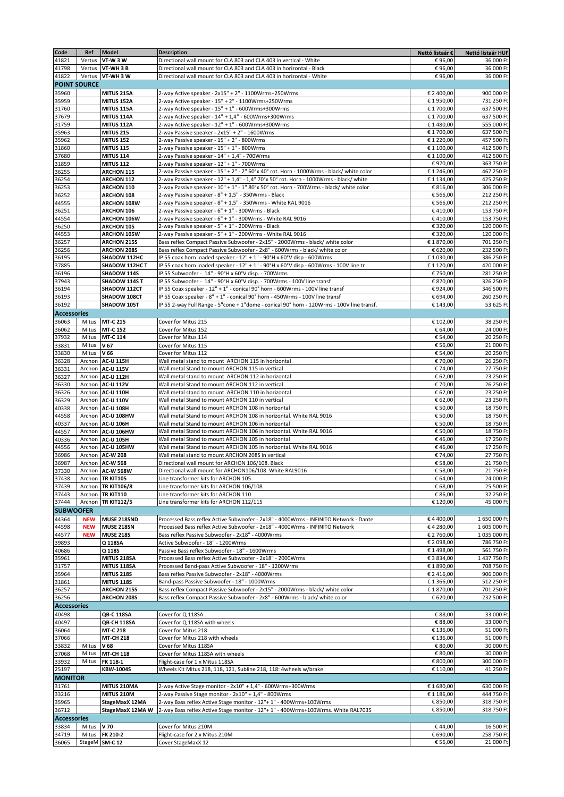| Code               | Ref                 | Model               | <b>Description</b>                                                                        | Nettó listaár € | Nettó listaár HUF |  |  |  |  |
|--------------------|---------------------|---------------------|-------------------------------------------------------------------------------------------|-----------------|-------------------|--|--|--|--|
| 41821              | Vertus              | <b>VT-W3W</b>       | Directional wall mount for CLA 803 and CLA 403 in vertical - White                        | €96,00          | 36 000 Ft         |  |  |  |  |
| 41798              | Vertus              | VT-WH3B             | Directional wall mount for CLA 803 and CLA 403 in horizontal - Black                      | €96,00          | 36 000 Ft         |  |  |  |  |
| 41822              |                     | Vertus VT-WH 3 W    | Directional wall mount for CLA 803 and CLA 403 in horizontal - White                      | €96,00          | 36 000 Ft         |  |  |  |  |
|                    | <b>POINT SOURCE</b> |                     |                                                                                           |                 |                   |  |  |  |  |
| 35960              |                     | MITUS 215A          | 2-way Active speaker - 2x15" + 2" - 1100Wrms+250Wrms                                      | € 2 400,00      | 900 000 Ft        |  |  |  |  |
| 35959              |                     | MITUS 152A          | 2-way Active speaker - 15" + 2" - 1100Wrms+250Wrms                                        | € 1950,00       | 731 250 Ft        |  |  |  |  |
| 31760              |                     | MITUS 115A          | 2-way Active speaker - 15" + 1" - 600Wrms+300Wrms                                         | € 1 700,00      | 637 500 Ft        |  |  |  |  |
| 37679              |                     | <b>MITUS 114A</b>   | 2-way Active speaker - 14" + 1,4" - 600Wrms+300Wrms                                       | € 1 700,00      | 637 500 Ft        |  |  |  |  |
| 31759              |                     | MITUS 112A          | 2-way Active speaker - 12" + 1" - 600Wrms+300Wrms                                         | € 1 480,00      | 555 000 Ft        |  |  |  |  |
| 35963              |                     | <b>MITUS 215</b>    | 2-way Passive speaker - 2x15" + 2" - 1600Wrms                                             | € 1 700,00      | 637 500 Ft        |  |  |  |  |
| 35962              |                     | <b>MITUS 152</b>    | 2-way Passive speaker - 15" + 2" - 800Wrms                                                | €1220,00        | 457 500 Ft        |  |  |  |  |
| 31860              |                     | <b>MITUS 115</b>    | 2-way Passive speaker - 15" + 1" - 800Wrms                                                | € 1 100,00      | 412 500 Ft        |  |  |  |  |
|                    |                     | <b>MITUS 114</b>    | 2-way Passive speaker - 14" + 1,4" - 700Wrms                                              | € 1 100,00      | 412 500 Ft        |  |  |  |  |
| 37680              |                     |                     | 2-way Passive speaker - 12" + 1" - 700Wrms                                                | € 970,00        | 363 750 Ft        |  |  |  |  |
| 31859              |                     | <b>MITUS 112</b>    |                                                                                           |                 | 467 250 Ft        |  |  |  |  |
| 36255              |                     | <b>ARCHON 115</b>   | 2-way Passive speaker - 15" + 2" - 2" 60°x 40° rot. Horn - 1000Wrms - black/ white color  | € 1 246,00      |                   |  |  |  |  |
| 36254              |                     | <b>ARCHON 112</b>   | 2-way Passive speaker - 12" + 1,4" - 1,4" 70°x 50° rot. Horn - 1000Wrms - black/ white    | € 1 134,00      | 425 250 Ft        |  |  |  |  |
| 36253              |                     | ARCHON 110          | 2-way Passive speaker - 10" + 1" - 1" 80°x 50° rot. Horn - 700Wrms - black/ white color   | € 816,00        | 306 000 Ft        |  |  |  |  |
| 36252              |                     | ARCHON 108          | 2-way Passive speaker - 8" + 1,5" - 350Wrms - Black                                       | € 566,00        | 212 250 Ft        |  |  |  |  |
| 44555              |                     | ARCHON 108W         | 2-way Passive speaker - 8" + 1,5" - 350Wrms - White RAL 9016                              | € 566,00        | 212 250 Ft        |  |  |  |  |
| 36251              |                     | <b>ARCHON 106</b>   | 2-way Passive speaker - 6" + 1" - 300Wrms - Black                                         | €410,00         | 153 750 Ft        |  |  |  |  |
| 44554              |                     | ARCHON 106W         | 2-way Passive speaker - 6" + 1" - 300Wrms - White RAL 9016                                | €410,00         | 153 750 Ft        |  |  |  |  |
| 36250              |                     | <b>ARCHON 105</b>   | 2-way Passive speaker - 5" + 1" - 200Wrms - Black                                         | € 320,00        | 120 000 Ft        |  |  |  |  |
| 44553              |                     | ARCHON 105W         | 2-way Passive speaker - 5" + 1" - 200Wrms - White RAL 9016                                | € 320,00        | 120 000 Ft        |  |  |  |  |
| 36257              |                     | <b>ARCHON 215S</b>  | Bass reflex Compact Passive Subwoofer - 2x15" - 2000Wrms - black/ white color             | €1870,00        | 701 250 Ft        |  |  |  |  |
| 36256              |                     | <b>ARCHON 208S</b>  | Bass reflex Compact Passive Subwoofer - 2x8" - 600Wrms - black/ white color               | € 620,00        | 232 500 Ft        |  |  |  |  |
| 36195              |                     | <b>SHADOW 112HC</b> | IP 55 coax horn loaded speaker - 12" + 1" - 90°H x 60°V disp - 600Wrms                    | € 1 030,00      | 386 250 Ft        |  |  |  |  |
| 37885              |                     | SHADOW 112HC T      | IP 55 coax horn loaded speaker - 12" + 1" - 90°H x 60°V disp - 600Wrms - 100V line tr     | € 1 120,00      | 420 000 Ft        |  |  |  |  |
| 36196              |                     | SHADOW 114S         | IP 55 Subwoofer - 14" - 90°H x 60°V disp. - 700Wrms                                       | € 750,00        | 281 250 Ft        |  |  |  |  |
| 37943              |                     | SHADOW 114S T       | IP 55 Subwoofer - 14" - 90°H x 60°V disp. - 700Wrms - 100V line transf                    | € 870,00        | 326 250 Ft        |  |  |  |  |
| 36194              |                     | SHADOW 112CT        | IP 55 Coax speaker - 12" + 1" - conical 90° horn - 600Wrms - 100V line transf             | €924,00         | 346 500 Ft        |  |  |  |  |
| 36193              |                     | SHADOW 108CT        | IP 55 Coax speaker - 8" + 1" - conical 90° horn - 450Wrms - 100V line transf              | € 694,00        | 260 250 Ft        |  |  |  |  |
| 36192              |                     | SHADOW 105T         | IP 55 2-way Full Range - 5"cone + 1"dome - conical 90° horn - 120Wrms - 100V line transf. | € 143,00        | 53 625 Ft         |  |  |  |  |
| <b>Accessories</b> |                     |                     |                                                                                           |                 |                   |  |  |  |  |
| 36063              | Mitus               | MT-C 215            | Cover for Mitus 215                                                                       | € 102,00        | 38 250 Ft         |  |  |  |  |
| 36062              | Mitus               | MT-C 152            | Cover for Mitus 152                                                                       | € 64,00         | 24 000 Ft         |  |  |  |  |
| 37932              | Mitus               | MT-C 114            | Cover for Mitus 114                                                                       | € 54,00         | 20 250 Ft         |  |  |  |  |
| 33831              | Mitus               | V 67                | Cover for Mitus 115                                                                       | € 56,00         | 21 000 Ft         |  |  |  |  |
| 33830              | Mitus               | V 66                | Cover for Mitus 112                                                                       | € 54,00         | 20 250 Ft         |  |  |  |  |
| 36328              | Archon              | <b>AC-U 115H</b>    | Wall metal stand to mount ARCHON 115 in horizontal                                        | € 70,00         | 26 250 Ft         |  |  |  |  |
| 36331              |                     | Archon AC-U 115V    | Wall metal Stand to mount ARCHON 115 in vertical                                          | €74,00          | 27 750 Ft         |  |  |  |  |
| 36327              |                     | Archon AC-U 112H    | Wall metal stand to mount ARCHON 112 in horizontal                                        | € 62,00         | 23 250 Ft         |  |  |  |  |
| 36330              |                     | Archon AC-U 112V    | Wall metal Stand to mount ARCHON 112 in vertical                                          | € 70,00         | 26 250 Ft         |  |  |  |  |
| 36326              |                     | Archon AC-U 110H    | Wall metal stand to mount ARCHON 110 in horizontal                                        | € 62,00         | 23 250 Ft         |  |  |  |  |
| 36329              |                     | Archon AC-U 110V    | Wall metal Stand to mount ARCHON 110 in vertical                                          | € 62,00         | 23 250 Ft         |  |  |  |  |
| 40338              |                     | Archon AC-U 108H    | Wall metal Stand to mount ARCHON 108 in horizontal                                        | € 50,00         | 18 750 Ft         |  |  |  |  |
|                    |                     | Archon AC-U 108HW   | Wall metal Stand to mount ARCHON 108 in horizontal. White RAL 9016                        | € 50,00         | 18 750 Ft         |  |  |  |  |
| 44558              |                     |                     |                                                                                           | € 50,00         |                   |  |  |  |  |
| 40337              | Archon              | <b>AC-U 106H</b>    | Wall metal Stand to mount ARCHON 106 in horizontal                                        |                 | 18 750 Ft         |  |  |  |  |
| 44557              |                     | Archon AC-U 106HW   | Wall metal Stand to mount ARCHON 106 in horizontal. White RAL 9016                        | € 50,00         | 18 750 Ft         |  |  |  |  |
| 40336              |                     | Archon AC-U 105H    | Wall metal Stand to mount ARCHON 105 in horizontal                                        | €46,00          | 17 250 Ft         |  |  |  |  |
| 44556              |                     | Archon AC-U 105HW   | Wall metal Stand to mount ARCHON 105 in horizontal. White RAL 9016                        | €46,00          | 17 250 Ft         |  |  |  |  |
| 36986              |                     | Archon AC-W 208     | Wall metal stand to mount ARCHON 208S in vertical                                         | €74,00          | 27 750 Ft         |  |  |  |  |
| 36987              |                     | Archon AC-W 568     | Directional wall mount for ARCHON 106/108. Black                                          | € 58,00         | 21 750 Ft         |  |  |  |  |
| 37330              |                     | Archon AC-W 568W    | Directional wall mount for ARCHON106/108. White RAL9016                                   | € 58.00         | 21 750 Ft         |  |  |  |  |
| 37438              |                     | Archon TR KIT105    | Line transformer kits for ARCHON 105                                                      | € 64,00         | 24 000 Ft         |  |  |  |  |
| 37439              | Archon              | <b>TR KIT106/8</b>  | Line transformer kits for ARCHON 106/108                                                  | € 68,00         | 25 500 Ft         |  |  |  |  |
| 37443              | Archon              | <b>TR KIT110</b>    | Line transformer kits for ARCHON 110                                                      | € 86,00         | 32 250 Ft         |  |  |  |  |
| 37444              | Archon              | <b>TR KIT112/5</b>  | Line transformer kits for ARCHON 112/115                                                  | € 120,00        | 45 000 Ft         |  |  |  |  |
| <b>SUBWOOFER</b>   |                     |                     |                                                                                           |                 |                   |  |  |  |  |
| 44364              | <b>NEW</b>          | MUSE 218SND         | Processed Bass reflex Active Subwoofer - 2x18" - 4000Wrms - INFINITO Network - Dante      | €4400,00        | 1 650 000 Ft      |  |  |  |  |
| 44598              | <b>NEW</b>          | MUSE 218SN          | Processed Bass reflex Active Subwoofer - 2x18" - 4000Wrms - INFINITO Network              | €4 280,00       | 1 605 000 Ft      |  |  |  |  |
| 44577              | <b>NEW</b>          | <b>MUSE 218S</b>    | Bass reflex Passive Subwoofer - 2x18" - 4000Wrms                                          | € 2 760,00      | 1 035 000 Ft      |  |  |  |  |
| 39893              |                     | Q 118SA             | Active Subwoofer - 18" - 1200Wrms                                                         | € 2 098,00      | 786 750 Ft        |  |  |  |  |
| 40686              |                     | Q 118S              | Passive Bass reflex Subwoofer - 18" - 1600Wrms                                            | € 1 498,00      | 561 750 Ft        |  |  |  |  |
| 35961              |                     | MITUS 218SA         | Processed Bass reflex Active Subwoofer - 2x18" - 2000Wrms                                 | €3834,00        | 1 437 750 Ft      |  |  |  |  |
| 31757              |                     | MITUS 118SA         | Processed Band-pass Active Subwoofer - 18" - 1200Wrms                                     | €1890,00        | 708 750 Ft        |  |  |  |  |
| 35964              |                     | <b>MITUS 218S</b>   | Bass reflex Passive Subwoofer - 2x18" - 4000Wrms                                          | € 2 416,00      | 906 000 Ft        |  |  |  |  |
| 31861              |                     | <b>MITUS 118S</b>   | Band-pass Passive Subwoofer - 18" - 1000Wrms                                              | € 1 366,00      | 512 250 Ft        |  |  |  |  |
| 36257              |                     | <b>ARCHON 215S</b>  | Bass reflex Compact Passive Subwoofer - 2x15" - 2000Wrms - black/ white color             | € 1870,00       | 701 250 Ft        |  |  |  |  |
| 36256              |                     | <b>ARCHON 208S</b>  | Bass reflex Compact Passive Subwoofer - 2x8" - 600Wrms - black/ white color               | € 620,00        | 232 500 Ft        |  |  |  |  |
| <b>Accessories</b> |                     |                     |                                                                                           |                 |                   |  |  |  |  |
| 40498              |                     | <b>QB-C 118SA</b>   | Cover for Q 118SA                                                                         | € 88,00         | 33 000 Ft         |  |  |  |  |
| 40497              |                     | QB-CH 118SA         | Cover for Q 118SA with wheels                                                             | € 88,00         | 33 000 Ft         |  |  |  |  |
| 36064              |                     | MT-C 218            | Cover for Mitus 218                                                                       | € 136,00        | 51 000 Ft         |  |  |  |  |
| 37066              |                     | <b>MT-CH 218</b>    | Cover for Mitus 218 with wheels                                                           | € 136,00        | 51 000 Ft         |  |  |  |  |
| 33832              | Mitus               | V 68                | Cover for Mitus 118SA                                                                     | € 80,00         | 30 000 Ft         |  |  |  |  |
| 37068              | Mitus               | <b>MT-CH 118</b>    | Cover for Mitus 118SA with wheels                                                         | € 80,00         | 30 000 Ft         |  |  |  |  |
| 33932              | Mitus               | FK 118-1            | Flight-case for 1 x Mitus 118SA                                                           | € 800,00        | 300 000 Ft        |  |  |  |  |
| 25197              |                     | KBW-1004S           | Wheels Kit Mitus 218, 118, 121, Subline 218, 118: 4wheels w/brake                         | € 110,00        | 41 250 Ft         |  |  |  |  |
|                    |                     |                     |                                                                                           |                 |                   |  |  |  |  |
| <b>MONITOR</b>     |                     |                     |                                                                                           |                 |                   |  |  |  |  |
| 31761              |                     | MITUS 210MA         | 2-way Active Stage monitor - 2x10" + 1,4" - 600Wrms+300Wrms                               | € 1 680,00      | 630 000 Ft        |  |  |  |  |
| 33216              |                     | MITUS 210M          | 2-way Passive Stage monitor - 2x10" + 1,4" - 800Wrms                                      | € 1 186,00      | 444 750 Ft        |  |  |  |  |
| 35965              |                     | StageMaxX 12MA      | 2-way Bass reflex Active Stage monitor - 12"+ 1" - 400Wrms+100Wrms                        | € 850,00        | 318 750 Ft        |  |  |  |  |
| 36712              |                     | StageMaxX 12MA W    | 2-way Bass reflex Active Stage monitor - 12"+ 1" - 400Wrms+100Wrms. White RAL7035         | € 850,00        | 318 750 Ft        |  |  |  |  |
| <b>Accessories</b> |                     |                     |                                                                                           |                 |                   |  |  |  |  |
| 33834              | Mitus               | V 70                | Cover for Mitus 210M                                                                      | €44,00          | 16 500 Ft         |  |  |  |  |
| 34719              |                     | Mitus FK 210-2      | Flight-case for 2 x Mitus 210M                                                            | € 690,00        | 258 750 Ft        |  |  |  |  |
| 36065              |                     | StageM SM-C 12      | Cover StageMaxX 12                                                                        | € 56,00         | 21 000 Ft         |  |  |  |  |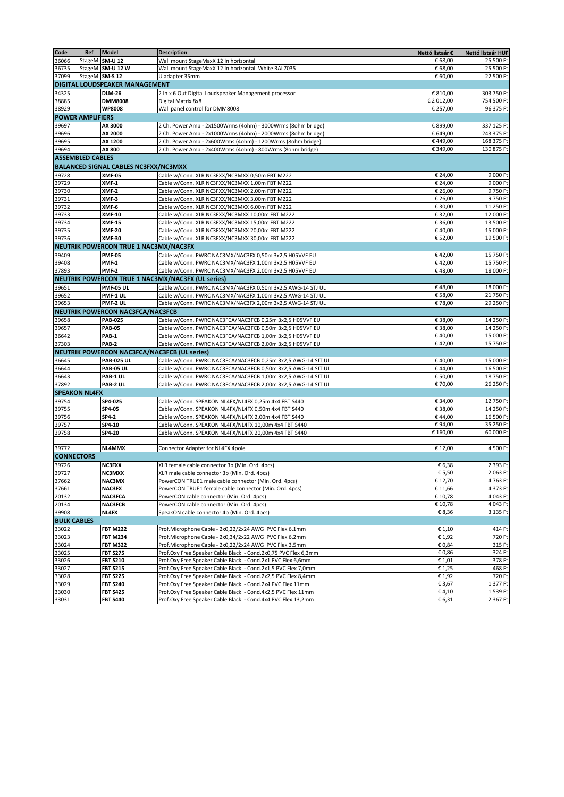| Code               | Ref                     | <b>Model</b>                                 | <b>Description</b>                                             | Nettó listaár €  | Nettó listaár HUF |
|--------------------|-------------------------|----------------------------------------------|----------------------------------------------------------------|------------------|-------------------|
| 36066              |                         | StageM SM-U 12                               | Wall mount StageMaxX 12 in horizontal                          | € 68,00          | 25 500 Ft         |
| 36735              |                         | StageM SM-U 12 W                             | Wall mount StageMaxX 12 in horizontal. White RAL7035           | € 68,00          | 25 500 Ft         |
| 37099              | StageM SM-S 12          |                                              | U adapter 35mm                                                 | € 60,00          | 22 500 Ft         |
|                    |                         | DIGITAL LOUDSPEAKER MANAGEMENT               |                                                                |                  |                   |
| 34325              |                         | <b>DLM-26</b>                                | 2 In x 6 Out Digital Loudspeaker Management processor          | € 810,00         | 303 750 Ft        |
| 38885              |                         | <b>DMM8008</b>                               | Digital Matrix 8x8                                             | € 2 012,00       | 754 500 Ft        |
| 38929              |                         | <b>WP8008</b>                                | Wall panel control for DMM8008                                 | € 257,00         | 96 375 Ft         |
|                    | <b>POWER AMPLIFIERS</b> |                                              |                                                                |                  |                   |
| 39697              |                         | AX 3000                                      | 2 Ch. Power Amp - 2x1500Wrms (4ohm) - 3000Wrms (8ohm bridge)   | € 899,00         | 337 125 Ft        |
| 39696              |                         | AX 2000                                      | 2 Ch. Power Amp - 2x1000Wrms (4ohm) - 2000Wrms (8ohm bridge)   | € 649,00         | 243 375 Ft        |
| 39695              |                         | AX 1200                                      | 2 Ch. Power Amp - 2x600Wrms (4ohm) - 1200Wrms (8ohm bridge)    | €449,00          | 168 375 Ft        |
| 39694              |                         | AX 800                                       | 2 Ch. Power Amp - 2x400Wrms (4ohm) - 800Wrms (8ohm bridge)     | € 349,00         | 130 875 Ft        |
|                    | <b>ASSEMBLED CABLES</b> |                                              |                                                                |                  |                   |
|                    |                         | <b>BALANCED SIGNAL CABLES NC3FXX/NC3MXX</b>  |                                                                |                  |                   |
| 39728              |                         | <b>XMF-05</b>                                | Cable w/Conn. XLR NC3FXX/NC3MXX 0,50m FBT M222                 | € 24,00          | 9 000 Ft          |
| 39729              |                         | XMF-1                                        | Cable w/Conn. XLR NC3FXX/NC3MXX 1,00m FBT M222                 | € 24,00          | 9 000 Ft          |
| 39730              |                         | XMF-2                                        | Cable w/Conn. XLR NC3FXX/NC3MXX 2,00m FBT M222                 | € 26,00          | 9750 Ft           |
| 39731              |                         | XMF-3                                        | Cable w/Conn. XLR NC3FXX/NC3MXX 3,00m FBT M222                 | € 26,00          | 9750 Ft           |
| 39732              |                         | XMF-6                                        | Cable w/Conn. XLR NC3FXX/NC3MXX 6,00m FBT M222                 | € 30,00          | 11 250 Ft         |
| 39733              |                         | <b>XMF-10</b>                                | Cable w/Conn. XLR NC3FXX/NC3MXX 10,00m FBT M222                | € 32,00          | 12 000 Ft         |
| 39734              |                         | <b>XMF-15</b>                                | Cable w/Conn. XLR NC3FXX/NC3MXX 15,00m FBT M222                | € 36,00          | 13 500 Ft         |
| 39735              |                         | <b>XMF-20</b>                                | Cable w/Conn. XLR NC3FXX/NC3MXX 20,00m FBT M222                | €40,00           | 15 000 Ft         |
| 39736              |                         | <b>XMF-30</b>                                | Cable w/Conn. XLR NC3FXX/NC3MXX 30,00m FBT M222                | € 52,00          | 19 500 Ft         |
|                    |                         | NEUTRIK POWERCON TRUE 1 NAC3MX/NAC3FX        |                                                                |                  |                   |
|                    |                         |                                              | Cable w/Conn. PWRC NAC3MX/NAC3FX 0,50m 3x2,5 H05VVF EU         |                  | 15 750 Ft         |
| 39409              |                         | <b>PMF-05</b>                                |                                                                | €42,00<br>€42,00 |                   |
| 39408              |                         | PMF-1                                        | Cable w/Conn. PWRC NAC3MX/NAC3FX 1,00m 3x2,5 H05VVF EU         |                  | 15 750 Ft         |
| 37893              |                         | PMF-2                                        | Cable w/Conn. PWRC NAC3MX/NAC3FX 2,00m 3x2,5 H05VVF EU         | €48,00           | 18 000 Ft         |
|                    |                         |                                              | NEUTRIK POWERCON TRUE 1 NAC3MX/NAC3FX (UL series)              |                  |                   |
| 39651              |                         | <b>PMF-05 UL</b>                             | Cable w/Conn. PWRC NAC3MX/NAC3FX 0,50m 3x2,5 AWG-14 STJ UL     | €48,00           | 18 000 Ft         |
| 39652              |                         | PMF-1 UL                                     | Cable w/Conn. PWRC NAC3MX/NAC3FX 1,00m 3x2,5 AWG-14 STJ UL     | € 58,00          | 21 750 Ft         |
| 39653              |                         | PMF-2 UL                                     | Cable w/Conn. PWRC NAC3MX/NAC3FX 2,00m 3x2,5 AWG-14 STJ UL     | €78,00           | 29 250 Ft         |
|                    |                         | <b>NEUTRIK POWERCON NAC3FCA/NAC3FCB</b>      |                                                                |                  |                   |
| 39658              |                         | <b>PAB-025</b>                               | Cable w/Conn. PWRC NAC3FCA/NAC3FCB 0,25m 3x2,5 H05VVF EU       | € 38,00          | 14 250 Ft         |
| 39657              |                         | <b>PAB-05</b>                                | Cable w/Conn. PWRC NAC3FCA/NAC3FCB 0,50m 3x2,5 H05VVF EU       | € 38,00          | 14 250 Ft         |
| 36642              |                         | PAB-1                                        | Cable w/Conn. PWRC NAC3FCA/NAC3FCB 1,00m 3x2,5 H05VVF EU       | €40,00           | 15 000 Ft         |
| 37303              |                         | PAB-2                                        | Cable w/Conn. PWRC NAC3FCA/NAC3FCB 2,00m 3x2,5 H05VVF EU       | €42,00           | 15 750 Ft         |
|                    |                         | NEUTRIK POWERCON NAC3FCA/NAC3FCB (UL series) |                                                                |                  |                   |
| 36645              |                         | <b>PAB-025 UL</b>                            | Cable w/Conn. PWRC NAC3FCA/NAC3FCB 0,25m 3x2,5 AWG-14 SJT UL   | €40,00           | 15 000 Ft         |
| 36644              |                         | <b>PAB-05 UL</b>                             | Cable w/Conn. PWRC NAC3FCA/NAC3FCB 0,50m 3x2,5 AWG-14 SJT UL   | €44,00           | 16 500 Ft         |
| 36643              |                         | PAB-1 UL                                     | Cable w/Conn. PWRC NAC3FCA/NAC3FCB 1,00m 3x2,5 AWG-14 SJT UL   | € 50,00          | 18 750 Ft         |
| 37892              |                         | PAB-2 UL                                     | Cable w/Conn. PWRC NAC3FCA/NAC3FCB 2,00m 3x2,5 AWG-14 SJT UL   | € 70,00          | 26 250 Ft         |
|                    | <b>SPEAKON NL4FX</b>    |                                              |                                                                |                  |                   |
| 39754              |                         | SP4-025                                      | Cable w/Conn. SPEAKON NL4FX/NL4FX 0,25m 4x4 FBT S440           | € 34,00          | 12 750 Ft         |
| 39755              |                         | SP4-05                                       | Cable w/Conn. SPEAKON NL4FX/NL4FX 0,50m 4x4 FBT S440           | € 38,00          | 14 250 Ft         |
| 39756              |                         | SP4-2                                        | Cable w/Conn. SPEAKON NL4FX/NL4FX 2,00m 4x4 FBT S440           | €44,00           | 16 500 Ft         |
| 39757              |                         | SP4-10                                       | Cable w/Conn. SPEAKON NL4FX/NL4FX 10,00m 4x4 FBT S440          | €94,00           | 35 250 Ft         |
| 39758              |                         | SP4-20                                       | Cable w/Conn. SPEAKON NL4FX/NL4FX 20,00m 4x4 FBT S440          | € 160,00         | 60 000 Ft         |
|                    |                         |                                              |                                                                |                  |                   |
| 39772              |                         | NL4MMX                                       | Connector Adapter for NL4FX 4pole                              | € 12,00          | 4 500 Ft          |
| <b>CONNECTORS</b>  |                         |                                              |                                                                |                  |                   |
| 39726              |                         | <b>NC3FXX</b>                                | XLR female cable connector 3p (Min. Ord. 4pcs)                 | € 6,38           | 2 393 Ft          |
| 39727              |                         | <b>NC3MXX</b>                                | XLR male cable connector 3p (Min. Ord. 4pcs)                   | € 5,50           | 2 063 Ft          |
| 37662              |                         | NAC3MX                                       | PowerCON TRUE1 male cable connector (Min. Ord. 4pcs)           | € 12,70          | 4763 Ft           |
| 37661              |                         | NAC3FX                                       | PowerCON TRUE1 female cable connector (Min. Ord. 4pcs)         | € 11,66          | 4 373 Ft          |
| 20132              |                         | <b>NAC3FCA</b>                               | PowerCON cable connector (Min. Ord. 4pcs)                      | € 10,78          | 4 043 Ft          |
| 20134              |                         | <b>NAC3FCB</b>                               | PowerCON cable connector (Min. Ord. 4pcs)                      | € 10,78          | 4 043 Ft          |
| 39908              |                         | NL4FX                                        | SpeakON cable connector 4p (Min. Ord. 4pcs)                    | € 8,36           | 3 135 Ft          |
| <b>BULK CABLES</b> |                         |                                              |                                                                |                  |                   |
| 33022              |                         | <b>FBT M222</b>                              | Prof.Microphone Cable - 2x0,22/2x24 AWG PVC Flex 6,1mm         | € 1,10           | 414 Ft            |
| 33023              |                         | <b>FBT M234</b>                              | Prof.Microphone Cable - 2x0,34/2x22 AWG PVC Flex 6,2mm         | € 1,92           | 720 Ft            |
| 33024              |                         | <b>FBT M322</b>                              | Prof.Microphone Cable - 2x0,22/2x24 AWG PVC Flex 3.5mm         | € 0,84           | 315 Ft            |
| 33025              |                         | <b>FBT S275</b>                              | Prof.Oxy Free Speaker Cable Black - Cond.2x0,75 PVC Flex 6,3mm | € 0,86           | 324 Ft            |
| 33026              |                         | <b>FBT S210</b>                              | Prof.Oxy Free Speaker Cable Black - Cond.2x1 PVC Flex 6,6mm    | € 1,01           | 378 Ft            |
| 33027              |                         | <b>FBT S215</b>                              | Prof.Oxy Free Speaker Cable Black - Cond.2x1,5 PVC Flex 7,0mm  | €1,25            | 468 Ft            |
| 33028              |                         | <b>FBT S225</b>                              | Prof.Oxy Free Speaker Cable Black - Cond.2x2,5 PVC Flex 8,4mm  | € 1,92           | 720 Ft            |
| 33029              |                         | <b>FBT S240</b>                              | Prof.Oxy Free Speaker Cable Black - Cond.2x4 PVC Flex 11mm     | € 3,67           | 1377 Ft           |
| 33030              |                         | <b>FBT S425</b>                              | Prof.Oxy Free Speaker Cable Black - Cond.4x2,5 PVC Flex 11mm   | €4,10            | 1 539 Ft          |
| 33031              |                         | <b>FBT S440</b>                              | Prof.Oxy Free Speaker Cable Black - Cond.4x4 PVC Flex 13,2mm   | € 6,31           | 2 367 Ft          |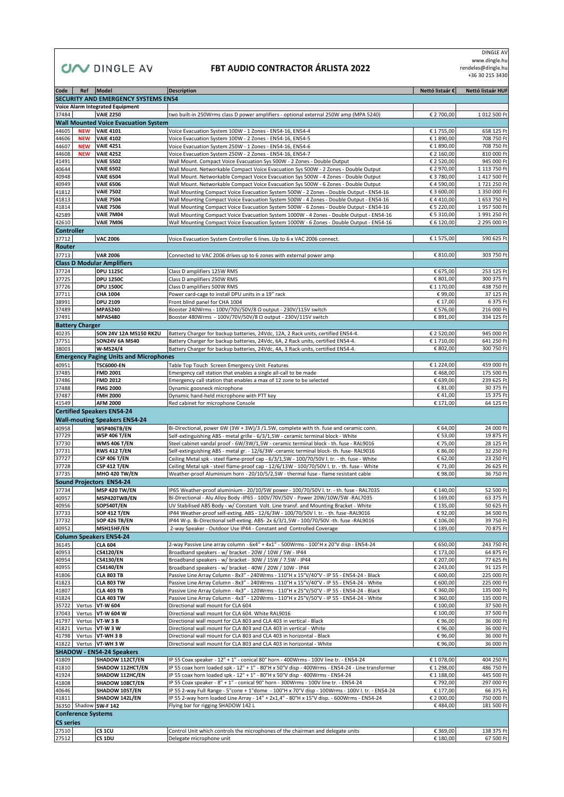# **CIA DINGLE AV FBT AUDIO CONTRACTOR ÁRLISTA 2022**

 DINGLE AV www.dingle.hu rendeles@dingle.hu +36 30 215 3430

| Code             |                           | Ref   Model                                     | <b>Description</b>                                                                                                                                                               | Nettó listaár €          | Nettó listaár HUF            |
|------------------|---------------------------|-------------------------------------------------|----------------------------------------------------------------------------------------------------------------------------------------------------------------------------------|--------------------------|------------------------------|
|                  |                           | SECURITY AND EMERGENCY SYSTEMS EN54             |                                                                                                                                                                                  |                          |                              |
|                  |                           | <b>Voice Alarm Integrated Equipment</b>         |                                                                                                                                                                                  |                          |                              |
| 37484            |                           | <b>VAIE 2250</b>                                | two built-in 250Wrms class D power amplifiers - optional external 250W amp (MPA 5240)                                                                                            | € 2 700,00               | 1 012 500 Ft                 |
|                  |                           | <b>Wall Mounted Voice Evacuation System</b>     |                                                                                                                                                                                  |                          |                              |
| 44605            | <b>NEW</b><br><b>NEW</b>  | <b>VAIE 4101</b><br><b>VAIE 4102</b>            | Voice Evacuation System 100W - 1 Zones - EN54-16, EN54-4                                                                                                                         | € 1755,00<br>€ 1 890,00  | 658 125 Ft                   |
| 44606<br>44607   | <b>NEW</b>                | <b>VAIE 4251</b>                                | Voice Evacuation System 100W - 2 Zones - EN54-16, EN54-5<br>Voice Evacuation System 250W - 1 Zones - EN54-16, EN54-6                                                             | € 1 890,00               | 708 750 Ft<br>708 750 Ft     |
| 44608            | <b>NEW</b>                | <b>VAIE 4252</b>                                | Voice Evacuation System 250W - 2 Zones - EN54-16, EN54-7                                                                                                                         | € 2 160,00               | 810 000 Ft                   |
| 41491            |                           | <b>VAIE 5502</b>                                | Wall Mount. Compact Voice Evacuation Sys 500W - 2 Zones - Double Output                                                                                                          | € 2 520,00               | 945 000 Ft                   |
| 40644            |                           | <b>VAIE 6502</b>                                | Wall Mount. Networkable Compact Voice Evacuation Sys 500W - 2 Zones - Double Output                                                                                              | € 2 970,00               | 1 113 750 Ft                 |
| 40948            |                           | <b>VAIE 6504</b>                                | Wall Mount. Networkable Compact Voice Evacuation Sys 500W - 4 Zones - Double Output                                                                                              | € 3 780,00               | 1 417 500 Ft                 |
| 40949            |                           | <b>VAIE 6506</b>                                | Wall Mount. Networkable Compact Voice Evacuation Sys 500W - 6 Zones - Double Output                                                                                              | €4 590,00                | 1721 250 Ft                  |
| 41812            |                           | <b>VAIE 7502</b>                                | Wall Mounting Compact Voice Evacuation System 500W - 2 Zones - Double Output - EN54-16                                                                                           | € 3 600,00               | 1 350 000 Ft                 |
| 41813            |                           | <b>VAIE 7504</b>                                | Wall Mounting Compact Voice Evacuation System 500W - 4 Zones - Double Output - EN54-16<br>Wall Mounting Compact Voice Evacuation System 500W - 6 Zones - Double Output - EN54-16 | €4410,00                 | 1 653 750 Ft                 |
| 41814<br>42589   |                           | <b>VAIE 7506</b><br><b>VAIE 7M04</b>            | Wall Mounting Compact Voice Evacuation System 1000W - 4 Zones - Double Output - EN54-16                                                                                          | € 5 220,00<br>€ 5 310,00 | 1 957 500 Ft<br>1 991 250 Ft |
| 42610            |                           | <b>VAIE 7M06</b>                                | Wall Mounting Compact Voice Evacuation System 1000W - 6 Zones - Double Output - EN54-16                                                                                          | € 6 120,00               | 2 295 000 Ft                 |
| Controller       |                           |                                                 |                                                                                                                                                                                  |                          |                              |
| 37712            |                           | <b>VAC 2006</b>                                 | Voice Evacuation System Controller 6 lines. Up to 6 x VAC 2006 connect.                                                                                                          | € 1 575,00               | 590 625 Ft                   |
| Router           |                           |                                                 |                                                                                                                                                                                  |                          |                              |
| 37713            |                           | <b>VAR 2006</b>                                 | Connected to VAC 2006 drives up to 6 zones with external power amp                                                                                                               | € 810,00                 | 303 750 Ft                   |
|                  |                           | <b>Class D Modular Amplifiers</b>               |                                                                                                                                                                                  |                          |                              |
| 37724            |                           | <b>DPU 1125C</b>                                | Class D amplifiers 125W RMS                                                                                                                                                      | € 675,00                 | 253 125 Ft                   |
| 37725            |                           | <b>DPU 1250C</b>                                | Class D amplifiers 250W RMS                                                                                                                                                      | € 801,00                 | 300 375 Ft                   |
| 37726            |                           | <b>DPU 1500C</b>                                | Class D amplifiers 500W RMS                                                                                                                                                      | € 1 170,00               | 438 750 Ft                   |
| 37711            |                           | CHA 1004                                        | Power card-cage to install DPU units in a 19" rack                                                                                                                               | € 99,00                  | 37 125 Ft                    |
| 38991            |                           | <b>DPU 2109</b>                                 | Front blind panel for CHA 1004                                                                                                                                                   | € 17,00                  | 6 375 Ft                     |
| 37489            |                           | <b>MPA5240</b>                                  | Booster 240Wrms - 100V/70V/50V/8 Ω output - 230V/115V switch                                                                                                                     | € 576,00                 | 216 000 Ft                   |
| 37491            |                           | <b>MPA5480</b>                                  | Booster 480Wrms - 100V/70V/50V/8 Ω output - 230V/115V switch                                                                                                                     | € 891,00                 | 334 125 Ft                   |
|                  | <b>Battery Charger</b>    |                                                 |                                                                                                                                                                                  | € 2 520,00               |                              |
| 40235<br>37751   |                           | SON 24V 12A MS150 RK2U<br><b>SON24V 6A MS40</b> | Battery Charger for backup batteries, 24Vdc, 12A, 2 Rack units, certified EN54-4.<br>Battery Charger for backup batteries, 24Vdc, 6A, 2 Rack units, certified EN54-4.            | € 1710,00                | 945 000 Ft<br>641 250 Ft     |
| 38003            |                           | W-MS24/4                                        | Battery Charger for backup batteries, 24Vdc, 4A, 3 Rack units, certified EN54-4.                                                                                                 | € 802,00                 | 300 750 Ft                   |
|                  |                           | <b>Emergency Paging Units and Microphones</b>   |                                                                                                                                                                                  |                          |                              |
| 40951            |                           | <b>TSC6000-EN</b>                               | Table Top Touch Screen Emergency Unit Features                                                                                                                                   | € 1 224,00               | 459 000 Ft                   |
| 37485            |                           | <b>FMD 2001</b>                                 | Emergency call station that enables a single all-call to be made                                                                                                                 | €468,00                  | 175 500 Ft                   |
| 37486            |                           | <b>FMD 2012</b>                                 | Emergency call station that enables a max of 12 zone to be selected                                                                                                              | € 639,00                 | 239 625 Ft                   |
| 37488            |                           | <b>FMG 2000</b>                                 | Dynamic goosneck microphone                                                                                                                                                      | € 81,00                  | 30 375 Ft                    |
| 37487            |                           | <b>FMH 2000</b>                                 | Dynamic hand-held microphone with PTT key                                                                                                                                        | €41,00                   | 15 375 Ft                    |
| 41549            |                           | <b>AFM 2000</b>                                 | Red cabinet for microphone Console                                                                                                                                               | € 171,00                 | 64 125 Ft                    |
|                  |                           | <b>Certified Speakers EN54-24</b>               |                                                                                                                                                                                  |                          |                              |
|                  |                           | <b>Wall-mouting Speakers EN54-24</b>            |                                                                                                                                                                                  |                          |                              |
| 40958            |                           | WSP406TB/EN                                     | Bi-Directional, power 6W (3W + 3W)/3 /1.5W, complete with th. fuse and ceramic conn.                                                                                             | € 64,00                  | 24 000 Ft                    |
| 37729            |                           | <b>WSP 406 T/EN</b><br><b>WMS 406 T/EN</b>      | Self-extinguishing ABS - metal grille - 6/3/1,5W - ceramic terminal block - White                                                                                                | € 53,00                  | 19 875 Ft                    |
| 37730<br>37731   |                           | <b>RWS 412 T/EN</b>                             | Steel cabinet vandal proof - 6W/3W/1,5W - ceramic terminal block - th. fuse - RAL9016<br>Self-extinguishing ABS - metal gr. - 12/6/3W -ceramic terminal block- th. fuse-RAL9016  | € 75,00<br>€ 86,00       | 28 125 Ft<br>32 250 Ft       |
| 37727            |                           | <b>CSP 406 T/EN</b>                             | Ceiling Metal spk - steel flame-proof cap - 6/3/1,5W - 100/70/50V I. tr. - th. fuse - White                                                                                      | € 62,00                  | 23 250 Ft                    |
| 37728            |                           | <b>CSP 412 T/EN</b>                             | Ceiling Metal spk - steel flame-proof cap - 12/6/13W - 100/70/50V l. tr. - th. fuse - White                                                                                      | € 71,00                  | 26 625 Ft                    |
| 37735            |                           | <b>MHO 420 TW/EN</b>                            | Weather-proof Aluminium horn - 20/10/5/2,5W - thermal fuse - flame resistant cable                                                                                               | €98,00                   | 36 750 Ft                    |
|                  |                           | <b>Sound Projectors EN54-24</b>                 |                                                                                                                                                                                  |                          |                              |
| 37734            |                           | <b>MSP 420 TW/EN</b>                            | IP65 Weather-proof aluminium - 20/10/5W power - 100/70/50V l. tr. - th. fuse - RAL7035                                                                                           | € 140,00                 | 52 500 Ft                    |
| 40957            |                           | MSP420TWB/EN                                    | Bi-Directional - Alu Alloy Body -IP65 - 100V/70V/50V - Power 20W/10W/5W -RAL7035                                                                                                 | € 169,00                 | 63 375 Ft                    |
| 40956            |                           | <b>SOP540T/EN</b>                               | UV Stabilised ABS Body - w/ Constant Volt. Line transf. and Mounting Bracket - White                                                                                             | € 135,00                 | 50 625 Ft                    |
| 37733            |                           | <b>SOP 412 T/EN</b>                             | IP44 Weather-proof self-exting. ABS - 12/6/3W - 100/70/50V l. tr. - th. fuse -RAL9016                                                                                            | €92,00                   | 34 500 Ft                    |
| 37732            |                           | <b>SOP 426 TB/EN</b>                            | IP44 W-p. Bi-Directional self-exting. ABS- 2x 6/3/1,5W - 100/70/50V -th. fuse -RAL9016                                                                                           | € 106,00                 | 39 750 Ft                    |
| 40952            |                           | MSH15HF/EN                                      | 2-way Speaker - Outdoor Use IP44 - Constant and Controlled Coverage                                                                                                              | € 189,00                 | 70 875 Ft                    |
|                  |                           | <b>Column Speakers EN54-24</b>                  |                                                                                                                                                                                  |                          |                              |
| 36145<br>40953   |                           | <b>CLA 604</b>                                  | 2-way Passive Line array column - 6x4" + 4x1" - 500Wrms - 100°H x 20°V disp - EN54-24                                                                                            | € 650,00                 | 243 750 Ft                   |
| 40954            |                           | <b>CS4120/EN</b><br><b>CS4130/EN</b>            | Broadband speakers - w/ bracket - 20W / 10W / 5W - IP44<br>Broadband speakers - w/ bracket - 30W / 15W / 7.5W - IP44                                                             | € 173,00<br>€ 207,00     | 64 875 Ft<br>77 625 Ft       |
| 40955            |                           | <b>CS4140/EN</b>                                | Broadband speakers - w/ bracket - 40W / 20W / 10W - IP44                                                                                                                         | € 243,00                 | 91 125 Ft                    |
| 41806            |                           | <b>CLA 803 TB</b>                               | Passive Line Array Column - 8x3" - 240Wrms - 110°H x 15°V/40°V - IP 55 - EN54-24 - Black                                                                                         | € 600,00                 | 225 000 Ft                   |
| 41823            |                           | <b>CLA 803 TW</b>                               | Passive Line Array Column - 8x3" - 240Wrms - 110°H x 15°V/40°V - IP 55 - EN54-24 - White                                                                                         | € 600,00                 | 225 000 Ft                   |
| 41807            |                           | <b>CLA 403 TB</b>                               | Passive Line Array Column - 4x3" - 120Wrms - 110°H x 25°V/50°V - IP 55 - EN54-24 - Black                                                                                         | € 360,00                 | 135 000 Ft                   |
| 41824            |                           | <b>CLA 403 TW</b>                               | Passive Line Array Column - 4x3" - 120Wrms - 110°H x 25°V/50°V - IP 55 - EN54-24 - White                                                                                         | € 360,00                 | 135 000 Ft                   |
| 35722            | Vertus                    | VT-W 604                                        | Directional wall mount for CLA 604                                                                                                                                               | € 100,00                 | 37 500 Ft                    |
| 37043            | Vertus                    | VT-W 604 W                                      | Directional wall mount for CLA 604. White RAL9016                                                                                                                                | € 100,00                 | 37 500 Ft                    |
| 41797            |                           | Vertus VT-W 3 B                                 | Directional wall mount for CLA 803 and CLA 403 in vertical - Black                                                                                                               | €96,00                   | 36 000 Ft                    |
| 41821            |                           | Vertus VT-W 3 W                                 | Directional wall mount for CLA 803 and CLA 403 in vertical - White                                                                                                               | €96,00                   | 36 000 Ft                    |
| 41798<br>41822   |                           | Vertus VT-WH 3 B<br>Vertus VT-WH 3 W            | Directional wall mount for CLA 803 and CLA 403 in horizontal - Black<br>Directional wall mount for CLA 803 and CLA 403 in horizontal - White                                     | €96,00<br>€96,00         | 36 000 Ft<br>36 000 Ft       |
|                  |                           | <b>SHADOW - EN54-24 Speakers</b>                |                                                                                                                                                                                  |                          |                              |
| 41809            |                           | SHADOW 112CT/EN                                 | IP 55 Coax speaker - 12" + 1" - conical 80° horn - 400Wrms - 100V line tr. - EN54-24                                                                                             | € 1 078,00               | 404 250 Ft                   |
| 41810            |                           | SHADOW 112HCT/EN                                | IP 55 coax horn loaded spk - 12" + 1" - 80°H x 50°V disp - 400Wrms - EN54-24 - Line transformer                                                                                  | €1298,00                 | 486 750 Ft                   |
| 41924            |                           | SHADOW 112HC/EN                                 | IP 55 coax horn loaded spk - 12" + 1" - 80°H x 50°V disp - 400Wrms - EN54-24                                                                                                     | € 1 188,00               | 445 500 Ft                   |
| 41808            |                           | SHADOW 108CT/EN                                 | IP 55 Coax speaker - 8" + 1" - conical 90° horn - 300Wrms - 100V line tr. - EN54-24                                                                                              | € 792,00                 | 297 000 Ft                   |
| 40646            |                           | SHADOW 105T/EN                                  | IP 55 2-way Full Range - 5"cone + 1"dome - 100°H x 70°V disp - 100Wrms - 100V l. tr. - EN54-24                                                                                   | € 177,00                 | 66 375 Ft                    |
| 41811            |                           | SHADOW 142L/EN                                  | IP 55 2-way horn loaded Line Array - 14" + 2x1,4" - 80°H x 15°V disp. - 600Wrms - EN54-24                                                                                        | € 2 000,00               | 750 000 Ft                   |
|                  |                           | 36350 Shadow SW-F 142                           | Flying bar for rigging SHADOW 142 L                                                                                                                                              | €484,00                  | 181 500 Ft                   |
|                  | <b>Conference Systems</b> |                                                 |                                                                                                                                                                                  |                          |                              |
| <b>CS series</b> |                           |                                                 |                                                                                                                                                                                  |                          |                              |
| 27510            |                           | CS <sub>1CU</sub>                               | Control Unit which controls the microphones of the chairman and delegate units                                                                                                   | € 369,00                 | 138 375 Ft                   |
| 27512            |                           | CS 1DU                                          | Delegate microphone unit                                                                                                                                                         | € 180,00                 | 67 500 Ft                    |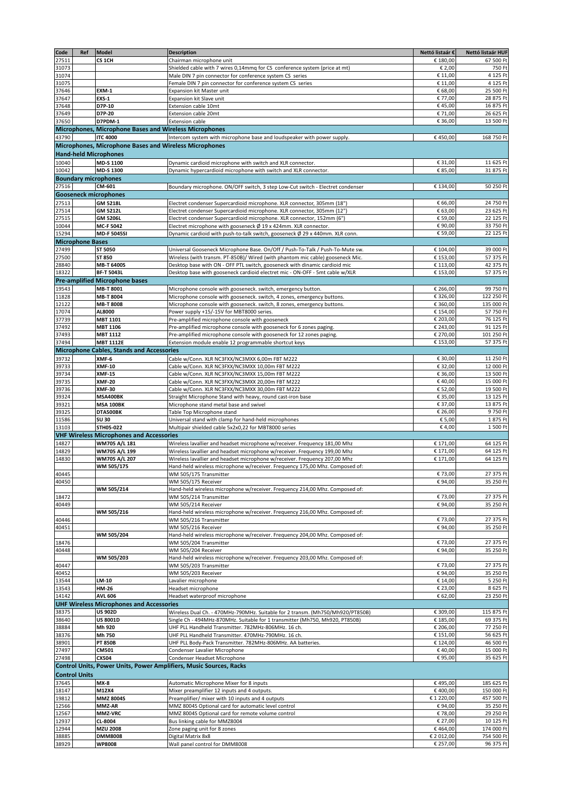| Code  | Ref                     | Model                                                  | <b>Description</b>                                                             | Nettó listaár € | Nettó listaár HUF |
|-------|-------------------------|--------------------------------------------------------|--------------------------------------------------------------------------------|-----------------|-------------------|
| 27511 |                         | CS <sub>1CH</sub>                                      | Chairman microphone unit                                                       | € 180,00        | 67 500 Ft         |
| 31073 |                         |                                                        | Shielded cable with 7 wires 0,14mmq for CS conference system (price at mt)     | € 2,00          | 750 Ft            |
| 31074 |                         |                                                        | Male DIN 7 pin connector for conference system CS series                       | € 11,00         | 4 125 Ft          |
| 31075 |                         |                                                        | Female DIN 7 pin connector for conference system CS series                     | € 11,00         | 4 125 Ft          |
| 37646 |                         | <b>EXM-1</b>                                           | Expansion kit Master unit                                                      | € 68,00         | 25 500 Ft         |
| 37647 |                         | <b>EXS-1</b>                                           |                                                                                | € 77,00         | 28 875 Ft         |
|       |                         | D7P-10                                                 | Expansion kit Slave unit                                                       |                 |                   |
| 37648 |                         |                                                        | Extension cable 10mt                                                           | €45,00          | 16 875 Ft         |
| 37649 |                         | D7P-20                                                 | <b>Extension cable 20mt</b>                                                    | € 71,00         | 26 625 Ft         |
| 37650 |                         | D7PDM-1                                                | <b>Extension cable</b>                                                         | € 36,00         | 13 500 Ft         |
|       |                         | Microphones, Microphone Bases and Wireless Microphones |                                                                                |                 |                   |
| 43790 |                         | <b>ITC 4000</b>                                        | Intercom system with microphone base and loudspeaker with power supply.        | €450,00         | 168 750 Ft        |
|       |                         | Microphones, Microphone Bases and Wireless Microphones |                                                                                |                 |                   |
|       |                         | <b>Hand-held Microphones</b>                           |                                                                                |                 |                   |
| 10040 |                         | MD-S 1100                                              | Dynamic cardioid microphone with switch and XLR connector.                     | € 31,00         | 11 625 Ft         |
| 10042 |                         | MD-S 1300                                              | Dynamic hypercardioid microphone with switch and XLR connector.                | € 85,00         | 31 875 Ft         |
|       |                         | <b>Boundary microphones</b>                            |                                                                                |                 |                   |
| 27516 |                         | CM-601                                                 | Boundary microphone. ON/OFF switch, 3 step Low-Cut switch - Electret condenser | € 134,00        | 50 250 Ft         |
|       |                         | <b>Gooseneck microphones</b>                           |                                                                                |                 |                   |
|       |                         |                                                        |                                                                                |                 |                   |
| 27513 |                         | <b>GM 5218L</b>                                        | Electret condenser Supercardioid microphone. XLR connector, 305mm (18")        | € 66,00         | 24 750 Ft         |
| 27514 |                         | <b>GM 5212L</b>                                        | Electret condenser Supercardioid microphone. XLR connector, 305mm (12")        | € 63,00         | 23 625 Ft         |
| 27515 |                         | GM 5206L                                               | Electret condenser Supercardioid microphone. XLR connector, 152mm (6")         | € 59,00         | 22 125 Ft         |
| 10044 |                         | MC-F 5042                                              | Electret microphone with gooseneck $\emptyset$ 19 x 424mm. XLR connector.      | € 90,00         | 33 750 Ft         |
| 15294 |                         | <b>MD-F 5045SI</b>                                     | Dynamic cardioid with push-to-talk switch, gooseneck Ø 29 x 440mm. XLR conn.   | € 59,00         | 22 125 Ft         |
|       | <b>Microphone Bases</b> |                                                        |                                                                                |                 |                   |
| 27499 |                         | ST 5050                                                | Universal Gooseneck Microphone Base. On/Off / Push-To-Talk / Push-To-Mute sw.  | € 104,00        | 39 000 Ft         |
| 27500 |                         | ST 850                                                 | Wireless (with transm. PT-850B)/ Wired (with phantom mic cable) gooseneck Mic. | € 153,00        | 57 375 Ft         |
| 28840 |                         | <b>MB-T 6400S</b>                                      | Desktop base with ON - OFF PTL switch, gooseneck with dinamic cardioid mic     | € 113,00        | 42 375 Ft         |
| 18322 |                         | <b>BF-T 5043L</b>                                      | Desktop base with gooseneck cardioid electret mic - ON-OFF - 5mt cable w/XLR   | € 153,00        | 57 375 Ft         |
|       |                         | <b>Pre-amplified Microphone bases</b>                  |                                                                                |                 |                   |
| 19543 |                         | MB-T 8001                                              | Microphone console with gooseneck. switch, emergency button.                   | € 266,00        | 99 750 Ft         |
| 11828 |                         | MB-T 8004                                              | Microphone console with gooseneck, switch, 4 zones, emergency buttons.         | € 326,00        | 122 250 Ft        |
| 12122 |                         | <b>MB-T 8008</b>                                       | Microphone console with gooseneck. switch, 8 zones, emergency buttons.         | € 360,00        | 135 000 Ft        |
| 17074 |                         | AL8000                                                 | Power supply +15/-15V for MBT8000 series.                                      | € 154,00        | 57 750 Ft         |
| 37739 |                         | MBT 1101                                               | Pre-amplified microphone console with gooseneck                                | € 203,00        | 76 125 Ft         |
| 37492 |                         | <b>MBT 1106</b>                                        | Pre-amplified microphone console with gooseneck for 6 zones paging.            | € 243,00        | 91 125 Ft         |
| 37493 |                         | MBT 1112                                               | Pre-amplified microphone console with gooseneck for 12 zones paging.           | € 270,00        | 101 250 Ft        |
| 37494 |                         | <b>MBT 1112E</b>                                       | Extension module enable 12 programmable shortcut keys                          | € 153,00        | 57 375 Ft         |
|       |                         | <b>Microphone Cables, Stands and Accessories</b>       |                                                                                |                 |                   |
| 39732 |                         | XMF-6                                                  | Cable w/Conn. XLR NC3FXX/NC3MXX 6,00m FBT M222                                 | € 30,00         | 11 250 Ft         |
| 39733 |                         | <b>XMF-10</b>                                          | Cable w/Conn. XLR NC3FXX/NC3MXX 10,00m FBT M222                                | € 32,00         | 12 000 Ft         |
| 39734 |                         | <b>XMF-15</b>                                          | Cable w/Conn. XLR NC3FXX/NC3MXX 15,00m FBT M222                                | € 36,00         | 13 500 Ft         |
| 39735 |                         | <b>XMF-20</b>                                          | Cable w/Conn. XLR NC3FXX/NC3MXX 20,00m FBT M222                                | € 40,00         | 15 000 Ft         |
| 39736 |                         | <b>XMF-30</b>                                          | Cable w/Conn. XLR NC3FXX/NC3MXX 30,00m FBT M222                                | € 52,00         | 19 500 Ft         |
| 39324 |                         | MSA400BK                                               | Straight Microphone Stand with heavy, round cast-iron base                     | € 35,00         | 13 125 Ft         |
| 39321 |                         | <b>MSA 100BK</b>                                       | Microphone stand metal base and swivel                                         | € 37,00         | 13 875 Ft         |
| 39325 |                         | DTA500BK                                               | Table Top Microphone stand                                                     | € 26,00         | 9750 Ft           |
| 11586 |                         | <b>SU 30</b>                                           | Universal stand with clamp for hand-held microphones                           | € 5,00          | 1875 Ft           |
| 13103 |                         | STH05-022                                              | Multipair shielded cable 5x2x0,22 for MBT8000 series                           | € 4,00          | 1 500 Ft          |
|       |                         | <b>VHF Wireless Microphones and Accessories</b>        |                                                                                |                 |                   |
| 14827 |                         | WM705 A/L 181                                          | Wireless lavallier and headset microphone w/receiver. Frequency 181,00 Mhz     | € 171,00        | 64 125 Ft         |
| 14829 |                         | WM705 A/L 199                                          | Wireless lavallier and headset microphone w/receiver. Frequency 199,00 Mhz     | € 171,00        | 64 125 Ft         |
| 14830 |                         | WM705 A/L 207                                          | Wireless lavallier and headset microphone w/receiver. Frequency 207,00 Mhz     | € 171,00        | 64 125 Ft         |
|       |                         | WM 505/175                                             | Hand-held wireless microphone w/receiver. Frequency 175,00 Mhz. Composed of:   |                 |                   |
| 40445 |                         |                                                        | WM 505/175 Transmitter                                                         | € 73,00         | 27 375 Ft         |
| 40450 |                         |                                                        | WM 505/175 Receiver                                                            | € 94,00         | 35 250 Ft         |
|       |                         | WM 505/214                                             | Hand-held wireless microphone w/receiver. Frequency 214,00 Mhz. Composed of:   |                 |                   |
| 18472 |                         |                                                        | WM 505/214 Transmitter                                                         | € 73,00         | 27 375 Ft         |
| 40449 |                         |                                                        | WM 505/214 Receiver                                                            | € 94,00         | 35 250 Ft         |
|       |                         | WM 505/216                                             | Hand-held wireless microphone w/receiver. Frequency 216,00 Mhz. Composed of:   |                 |                   |
| 40446 |                         |                                                        | WM 505/216 Transmitter                                                         | € 73,00         | 27 375 Ft         |
| 40451 |                         |                                                        | WM 505/216 Receiver                                                            | € 94,00         | 35 250 Ft         |
|       |                         | WM 505/204                                             | Hand-held wireless microphone w/receiver. Frequency 204,00 Mhz. Composed of:   |                 |                   |
| 18476 |                         |                                                        | WM 505/204 Transmitter                                                         | € 73,00         | 27 375 Ft         |
| 40448 |                         |                                                        | WM 505/204 Receiver                                                            | € 94,00         | 35 250 Ft         |
|       |                         | WM 505/203                                             | Hand-held wireless microphone w/receiver. Frequency 203,00 Mhz. Composed of:   |                 |                   |
| 40447 |                         |                                                        | WM 505/203 Transmitter                                                         | € 73,00         | 27 375 Ft         |
| 40452 |                         |                                                        | WM 505/203 Receiver                                                            | € 94,00         | 35 250 Ft         |
| 13544 |                         | LM-10                                                  | Lavalier microphone                                                            | € 14,00         | 5 250 Ft          |
| 13543 |                         | HM-26                                                  | Headset microphone                                                             | € 23,00         | 8625 Ft           |
| 14142 |                         | <b>AVL 606</b>                                         | Headset waterproof microphone                                                  | € 62,00         | 23 250 Ft         |
|       |                         | <b>UHF Wireless Microphones and Accessories</b>        |                                                                                |                 |                   |
| 38375 |                         | <b>US 902D</b>                                         | Wireless Dual Ch. - 470MHz-790MHz. Suitable for 2 transm. (Mh750/Mh920/PT850B) | € 309,00        | 115 875 Ft        |
| 38640 |                         | <b>US 8001D</b>                                        | Single Ch - 494MHz-870MHz. Suitable for 1 transmitter (Mh750, Mh920, PT850B)   | € 185,00        | 69 375 Ft         |
| 38884 |                         | Mh 920                                                 | UHF PLL Handheld Transmitter. 782MHz-806MHz. 16 ch.                            | € 206,00        | 77 250 Ft         |
| 38376 |                         | Mh 750                                                 | UHF PLL Handheld Transmitter. 470MHz-790MHz. 16 ch.                            | € 151,00        | 56 625 Ft         |
| 38901 |                         | <b>PT 850B</b>                                         | UHF PLL Body-Pack Transmitter. 782MHz-806MHz. AA batteries.                    | € 124,00        | 46 500 Ft         |
| 27497 |                         | CM501                                                  | Condenser Lavalier Microphone                                                  | € 40,00         | 15 000 Ft         |
| 27498 |                         | CX504                                                  | Condenser Headset Microphone                                                   | € 95,00         | 35 625 Ft         |
|       |                         |                                                        | Control Units, Power Units, Power Amplifiers, Music Sources, Racks             |                 |                   |
|       | <b>Control Units</b>    |                                                        |                                                                                |                 |                   |
| 37645 |                         | $MX-8$                                                 | Automatic Microphone Mixer for 8 inputs                                        | €495,00         | 185 625 Ft        |
| 18147 |                         | M12X4                                                  | Mixer preamplifier 12 inputs and 4 outputs.                                    | €400,00         | 150 000 Ft        |
| 19812 |                         | MMZ 8004S                                              | Preamplifier/ mixer with 10 inputs and 4 outputs                               | € 1 220,00      | 457 500 Ft        |
| 12566 |                         | MMZ-AR                                                 | MMZ 8004S Optional card for automatic level control                            | € 94,00         | 35 250 Ft         |
| 12567 |                         | MMZ-VRC                                                | MMZ 8004S Optional card for remote volume control                              | € 78,00         | 29 250 Ft         |
| 12937 |                         | CL-8004                                                | Bus linking cable for MMZ8004                                                  | € 27,00         | 10 125 Ft         |
| 12944 |                         | <b>MZU 2008</b>                                        | Zone paging unit for 8 zones                                                   | €464,00         | 174 000 Ft        |
| 38885 |                         | <b>DMM8008</b>                                         | Digital Matrix 8x8                                                             | € 2 012,00      | 754 500 Ft        |
| 38929 |                         | <b>WP8008</b>                                          | Wall panel control for DMM8008                                                 | € 257,00        | 96 375 Ft         |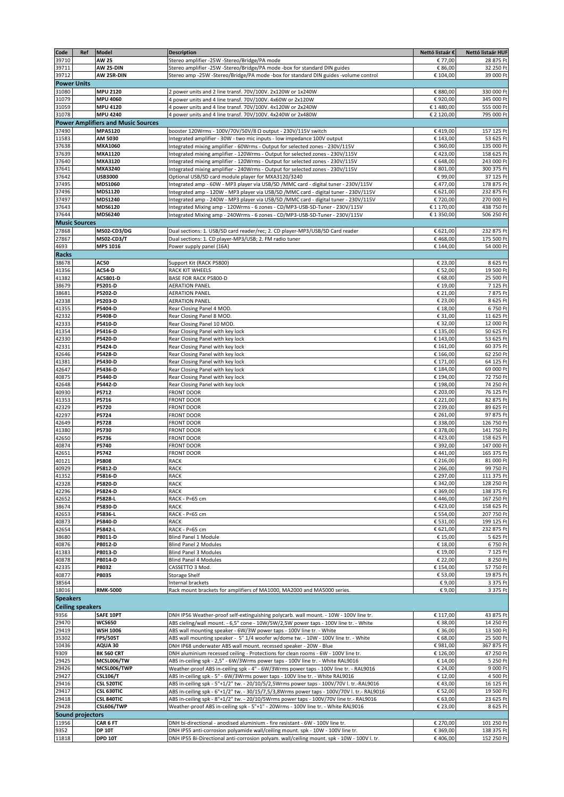| Code            | Ref                     | <b>Model</b>                                                | <b>Description</b>                                                                                                                                                       | Nettó listaár €      | Nettó listaár HUF        |
|-----------------|-------------------------|-------------------------------------------------------------|--------------------------------------------------------------------------------------------------------------------------------------------------------------------------|----------------------|--------------------------|
| 39710           |                         | <b>AW 25</b>                                                | Stereo amplifier -25W -Stereo/Bridge/PA mode                                                                                                                             | € 77,00              | 28 875 Ft                |
| 39711<br>39712  |                         | <b>AW 25-DIN</b><br>AW 25R-DIN                              | Stereo amplifier -25W -Stereo/Bridge/PA mode -box for standard DIN guides<br>Stereo amp -25W -Stereo/Bridge/PA mode -box for standard DIN guides -volume control         | € 86,00<br>€ 104,00  | 32 250 Ft<br>39 000 Ft   |
|                 | <b>Power Units</b>      |                                                             |                                                                                                                                                                          |                      |                          |
| 31080           |                         | <b>MPU 2120</b>                                             | 2 power units and 2 line transf. 70V/100V. 2x120W or 1x240W                                                                                                              | € 880,00             | 330 000 Ft               |
| 31079           |                         | <b>MPU 4060</b>                                             | 4 power units and 4 line transf. 70V/100V. 4x60W or 2x120W                                                                                                               | € 920,00             | 345 000 Ft               |
| 31059           |                         | MPU 4120                                                    | 4 power units and 4 line transf. 70V/100V. 4x120W or 2x240W                                                                                                              | € 1 480,00           | 555 000 Ft               |
| 31078           |                         | <b>MPU 4240</b>                                             | 4 power units and 4 line transf. 70V/100V. 4x240W or 2x480W                                                                                                              | € 2 120,00           | 795 000 Ft               |
| 37490           |                         | <b>Power Amplifiers and Music Sources</b><br><b>MPA5120</b> |                                                                                                                                                                          |                      |                          |
| 11583           |                         | AM 5030                                                     | booster 120Wrms - 100V/70V/50V/8 Ω output - 230V/115V switch<br>Integrated amplifier - 30W - two mic inputs - low impedance 100V output                                  | €419,00<br>€ 143,00  | 157 125 Ft<br>53 625 Ft  |
| 37638           |                         | MXA1060                                                     | Integrated mixing amplifier - 60Wrms - Output for selected zones - 230V/115V                                                                                             | € 360,00             | 135 000 Ft               |
| 37639           |                         | MXA1120                                                     | Integrated mixing amplifier - 120Wrms - Output for selected zones - 230V/115V                                                                                            | €423,00              | 158 625 Ft               |
| 37640           |                         | MXA3120                                                     | Integrated mixing amplifier - 120Wrms - Output for selected zones - 230V/115V                                                                                            | € 648,00             | 243 000 Ft               |
| 37641<br>37642  |                         | MXA3240<br><b>USB3000</b>                                   | Integrated mixing amplifier - 240Wrms - Output for selected zones - 230V/115V<br>Optional USB/SD card module player for MXA3120/3240                                     | € 801,00<br>€ 99,00  | 300 375 Ft<br>37 125 Ft  |
| 37495           |                         | MDS1060                                                     | Integrated amp - 60W - MP3 player via USB/SD / MMC card - digital tuner - 230V/115V                                                                                      | €477,00              | 178 875 Ft               |
| 37496           |                         | MDS1120                                                     | Integrated amp - 120W - MP3 player via USB/SD /MMC card - digital tuner - 230V/115V                                                                                      | € 621,00             | 232 875 Ft               |
| 37497           |                         | MDS1240                                                     | Integrated amp - 240W - MP3 player via USB/SD / MMC card - digital tuner - 230V/115V                                                                                     | € 720,00             | 270 000 Ft               |
| 37643           |                         | MDS6120                                                     | Integrated Mixing amp - 120Wrms - 6 zones - CD/MP3-USB-SD-Tuner - 230V/115V                                                                                              | € 1 170,00           | 438 750 Ft               |
| 37644           | <b>Music Sources</b>    | <b>MDS6240</b>                                              | Integrated Mixing amp - 240Wrms - 6 zones - CD/MP3-USB-SD-Tuner - 230V/115V                                                                                              | € 1 350,00           | 506 250 Ft               |
| 27868           |                         | MS02-CD3/DG                                                 | Dual sections: 1. USB/SD card reader/rec; 2. CD player-MP3/USB/SD Card reader                                                                                            | € 621,00             | 232 875 Ft               |
| 27867           |                         | <b>MS02-CD3/T</b>                                           | Dual sections: 1. CD player-MP3/USB; 2. FM radio tuner                                                                                                                   | €468,00              | 175 500 Ft               |
| 4693            |                         | MPS 1016                                                    | Power supply panel (16A)                                                                                                                                                 | € 144,00             | 54 000 Ft                |
| <b>Racks</b>    |                         |                                                             |                                                                                                                                                                          |                      |                          |
| 38678           |                         | AC50                                                        | Support Kit (RACK P5800)                                                                                                                                                 | € 23,00              | 8 625 Ft                 |
| 41356<br>41382  |                         | <b>AC54-D</b><br>AC5801-D                                   | RACK KIT WHEELS<br>BASE FOR RACK P5800-D                                                                                                                                 | € 52,00<br>€ 68,00   | 19 500 Ft<br>25 500 Ft   |
| 38679           |                         | P5201-D                                                     | <b>AERATION PANEL</b>                                                                                                                                                    | € 19,00              | 7 125 Ft                 |
| 38681           |                         | P5202-D                                                     | <b>AERATION PANEL</b>                                                                                                                                                    | € 21,00              | 7875 Ft                  |
| 42338           |                         | P5203-D                                                     | <b>AERATION PANEL</b>                                                                                                                                                    | € 23,00              | 8625 Ft                  |
| 41355<br>42332  |                         | P5404-D<br>P5408-D                                          | Rear Closing Panel 4 MOD.<br>Rear Closing Panel 8 MOD.                                                                                                                   | € 18,00<br>€ 31,00   | 6750 Ft<br>11 625 Ft     |
| 42333           |                         | P5410-D                                                     | Rear Closing Panel 10 MOD.                                                                                                                                               | € 32,00              | 12 000 Ft                |
| 41354           |                         | P5416-D                                                     | Rear Closing Panel with key lock                                                                                                                                         | € 135,00             | 50 625 Ft                |
| 42330           |                         | P5420-D                                                     | Rear Closing Panel with key lock                                                                                                                                         | € 143,00             | 53 625 Ft                |
| 42331           |                         | P5424-D                                                     | Rear Closing Panel with key lock                                                                                                                                         | € 161,00             | 60 375 Ft                |
| 42646           |                         | P5428-D<br>P5430-D                                          | Rear Closing Panel with key lock                                                                                                                                         | € 166,00<br>€ 171,00 | 62 250 Ft<br>64 125 Ft   |
| 41381<br>42647  |                         | P5436-D                                                     | Rear Closing Panel with key lock<br>Rear Closing Panel with key lock                                                                                                     | € 184,00             | 69 000 Ft                |
| 40875           |                         | P5440-D                                                     | Rear Closing Panel with key lock                                                                                                                                         | € 194,00             | 72 750 Ft                |
| 42648           |                         | P5442-D                                                     | Rear Closing Panel with key lock                                                                                                                                         | € 198,00             | 74 250 Ft                |
| 40930           |                         | P5712                                                       | <b>FRONT DOOR</b>                                                                                                                                                        | € 203,00             | 76 125 Ft                |
| 41353           |                         | P5716                                                       | <b>FRONT DOOR</b>                                                                                                                                                        | € 221,00<br>€ 239,00 | 82 875 Ft<br>89 625 Ft   |
| 42329<br>42297  |                         | P5720<br>P5724                                              | <b>FRONT DOOR</b><br><b>FRONT DOOR</b>                                                                                                                                   | € 261,00             | 97 875 Ft                |
| 42649           |                         | P5728                                                       | <b>FRONT DOOR</b>                                                                                                                                                        | € 338,00             | 126 750 Ft               |
| 41380           |                         | P5730                                                       | <b>FRONT DOOR</b>                                                                                                                                                        | € 378,00             | 141 750 Ft               |
| 42650           |                         | P5736                                                       | <b>FRONT DOOR</b>                                                                                                                                                        | €423,00              | 158 625 Ft               |
| 40874<br>42651  |                         | P5740<br>P5742                                              | <b>FRONT DOOR</b><br><b>FRONT DOOR</b>                                                                                                                                   | € 392,00<br>€441,00  | 147 000 Ft<br>165 375 Ft |
| 40121           |                         | P5808                                                       | <b>RACK</b>                                                                                                                                                              | € 216,00             | 81 000 Ft                |
| 40929           |                         | P5812-D                                                     | <b>RACK</b>                                                                                                                                                              | € 266,00             | 99 750 Ft                |
| 41352           |                         | P5816-D                                                     | RACK                                                                                                                                                                     | € 297,00             | 111 375 Ft               |
| 42328           |                         | P5820-D                                                     | RACK                                                                                                                                                                     | € 342,00             | 128 250 Ft               |
| 42296           |                         | P5824-D<br>P5828-L                                          | RACK<br>RACK - P=65 cm                                                                                                                                                   | € 369,00<br>€446,00  | 138 375 Ft<br>167 250 Ft |
| 42652<br>38674  |                         | P5830-D                                                     | RACK                                                                                                                                                                     | €423,00              | 158 625 Ft               |
| 42653           |                         | P5836-L                                                     | RACK - P=65 cm                                                                                                                                                           | € 554,00             | 207 750 Ft               |
| 40873           |                         | P5840-D                                                     | RACK                                                                                                                                                                     | € 531,00             | 199 125 Ft               |
| 42654           |                         | P5842-L                                                     | RACK - P=65 cm                                                                                                                                                           | € 621,00             | 232 875 Ft               |
| 38680<br>40876  |                         | P8011-D<br>P8012-D                                          | Blind Panel 1 Module<br>Blind Panel 2 Modules                                                                                                                            | € 15,00<br>€ 18,00   | 5 625 Ft<br>6750 Ft      |
| 41383           |                         | P8013-D                                                     | <b>Blind Panel 3 Modules</b>                                                                                                                                             | € 19,00              | 7 125 Ft                 |
| 40878           |                         | P8014-D                                                     | <b>Blind Panel 4 Modules</b>                                                                                                                                             | € 22,00              | 8 250 Ft                 |
| 42335           |                         | P8032                                                       | CASSETTO 3 Mod.                                                                                                                                                          | € 154,00             | 57 750 Ft                |
| 40877<br>38564  |                         | P8035                                                       | <b>Storage Shelf</b><br>Internal brackets                                                                                                                                | € 53,00<br>€ 9,00    | 19 875 Ft<br>3 375 Ft    |
| 18016           |                         | <b>RMK-5000</b>                                             | Rack mount brackets for amplifiers of MA1000, MA2000 and MA5000 series.                                                                                                  | € 9,00               | 3 375 Ft                 |
| <b>Speakers</b> |                         |                                                             |                                                                                                                                                                          |                      |                          |
|                 | <b>Ceiling speakers</b> |                                                             |                                                                                                                                                                          |                      |                          |
| 9356            |                         | SAFE 10PT                                                   | DNH IP56 Weather-proof self-extinguishing polycarb. wall mount. - 10W - 100V line tr.                                                                                    | € 117,00             | 43 875 Ft                |
| 29470           |                         | <b>WCS650</b>                                               | ABS cieling/wall mount. - 6,5" cone - 10W/5W/2,5W power taps - 100V line tr. - White                                                                                     | € 38,00              | 14 250 Ft                |
| 29419<br>35302  |                         | <b>WSH 1006</b><br><b>FPS/505T</b>                          | ABS wall mounting speaker - 6W/3W power taps - 100V line tr. - White<br>ABS wall mounting speaker - 5" 1/4 woofer w/dome tw. - 10W - 100V line tr. - White               | € 36,00<br>€ 68,00   | 13 500 Ft<br>25 500 Ft   |
| 10436           |                         | AQUA 30                                                     | DNH IP68 underwater ABS wall mount. recessed speaker - 20W - Blue                                                                                                        | € 981,00             | 367 875 Ft               |
| 9309            |                         | <b>BK 560 CRT</b>                                           | DNH aluminium recessed ceiling - Protections for clean rooms - 6W - 100V line tr.                                                                                        | € 126,00             | 47 250 Ft                |
| 29425           |                         | MCSL006/TW                                                  | ABS in-ceiling spk - 2,5" - 6W/3Wrms power taps - 100V line tr. - White RAL9016                                                                                          | € 14,00              | 5 250 Ft                 |
| 29426           |                         | MCSL006/TWP                                                 | Weather-proof ABS in-ceiling spk - 4" - 6W/3Wrms power taps - 100V line tr. - RAL9016                                                                                    | € 24,00              | 9 000 Ft                 |
| 29427<br>29416  |                         | <b>CSL106/T</b><br><b>CSL 520TIC</b>                        | ABS in-ceiling spk - 5" - 6W/3Wrms power taps - 100V line tr. - White RAL9016<br>ABS in-ceiling spk - 5"+1/2" tw. - 20/10/5/2,5Wrms power taps - 100V/70V l. tr.-RAL9016 | € 12,00<br>€43,00    | 4 500 Ft<br>16 125 Ft    |
| 29417           |                         | <b>CSL 630TIC</b>                                           | ABS in-ceiling spk - 6"+1/2" tw. - 30/15/7,5/3,8Wrms power taps - 100V/70V I. tr.-RAL9016                                                                                | € 52,00              | 19 500 Ft                |
| 29418           |                         | <b>CSL 840TIC</b>                                           | ABS in-ceiling spk - 8"+1/2" tw. - 20/10/5Wrms power taps - 100V/70V line tr.- RAL9016                                                                                   | € 63,00              | 23 625 Ft                |
| 29428           |                         | <b>CSL606/TWP</b>                                           | Weather-proof ABS in-ceiling spk - 5"+1" - 20Wrms - 100V line tr. - White RAL9016                                                                                        | € 23,00              | 8 625 Ft                 |
|                 | Sound projectors        |                                                             |                                                                                                                                                                          |                      |                          |
| 11956<br>9352   |                         | CAR 6 FT<br><b>DP 10T</b>                                   | DNH bi-directional - anodised aluminium - fire resistant - 6W - 100V line tr.<br>DNH IP55 anti-corrosion polyamide wall/ceiling mount. spk - 10W - 100V line tr.         | € 270,00<br>€ 369,00 | 101 250 Ft<br>138 375 Ft |
| 11818           |                         | <b>DPD 10T</b>                                              | DNH IP55 Bi-Directional anti-corrosion polyam. wall/ceiling mount. spk - 10W - 100V l. tr.                                                                               | €406,00              | 152 250 Ft               |